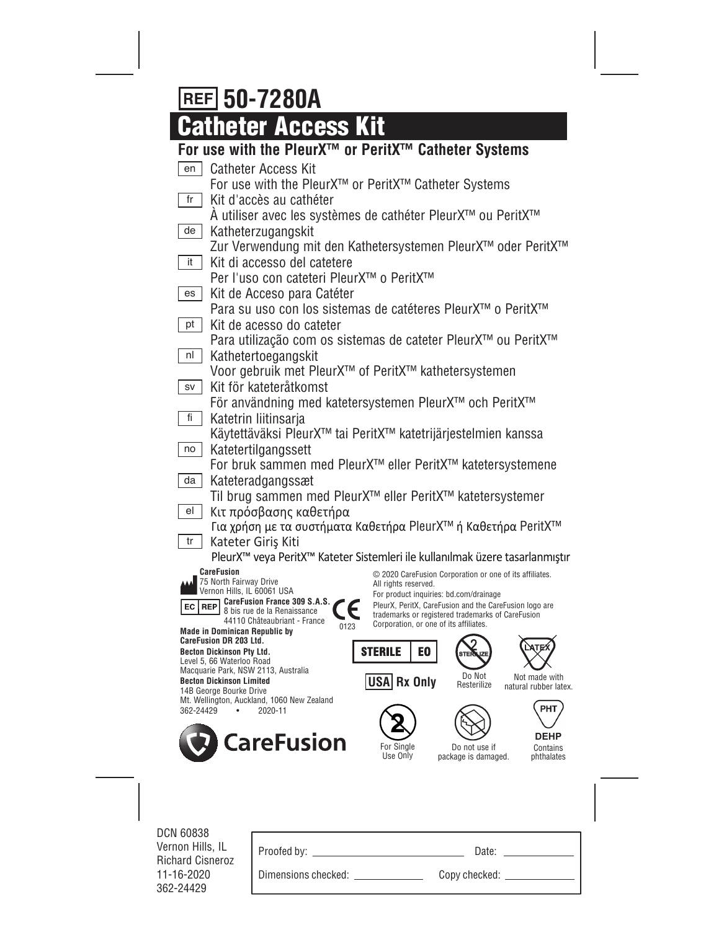# **50-7280A**

# **Catheter Access Kit**

# **For use with the PleurX™ or PeritX™ Catheter Systems**

| en                                                                                       | <b>Catheter Access Kit</b>                                                                        |                        |                                                                                                  |                                        |
|------------------------------------------------------------------------------------------|---------------------------------------------------------------------------------------------------|------------------------|--------------------------------------------------------------------------------------------------|----------------------------------------|
|                                                                                          | For use with the PleurX <sup>™</sup> or PeritX <sup>™</sup> Catheter Systems                      |                        |                                                                                                  |                                        |
| fr                                                                                       | Kit d'accès au cathéter<br>A utiliser avec les systèmes de cathéter PleurX™ ou PeritX™            |                        |                                                                                                  |                                        |
| de                                                                                       | Katheterzugangskit                                                                                |                        |                                                                                                  |                                        |
|                                                                                          | Zur Verwendung mit den Kathetersystemen PleurX™ oder PeritX™                                      |                        |                                                                                                  |                                        |
| it                                                                                       | Kit di accesso del catetere                                                                       |                        |                                                                                                  |                                        |
|                                                                                          | Per l'uso con cateteri PleurX™ o PeritX™                                                          |                        |                                                                                                  |                                        |
| es                                                                                       | Kit de Acceso para Catéter                                                                        |                        |                                                                                                  |                                        |
|                                                                                          | Para su uso con los sistemas de catéteres PleurX™ o PeritX™                                       |                        |                                                                                                  |                                        |
| pt                                                                                       | Kit de acesso do cateter                                                                          |                        |                                                                                                  |                                        |
|                                                                                          | Para utilização com os sistemas de cateter PleurX™ ou PeritX™                                     |                        |                                                                                                  |                                        |
| nl                                                                                       | Kathetertoegangskit                                                                               |                        |                                                                                                  |                                        |
|                                                                                          | Voor gebruik met PleurX <sup>™</sup> of PeritX <sup>™</sup> kathetersystemen                      |                        |                                                                                                  |                                        |
| SV                                                                                       | Kit för kateteråtkomst<br>För användning med katetersystemen PleurX™ och PeritX™                  |                        |                                                                                                  |                                        |
| fi                                                                                       | Katetrin liitinsarja                                                                              |                        |                                                                                                  |                                        |
|                                                                                          | Käytettäväksi PleurX™ tai PeritX™ katetrijärjestelmien kanssa                                     |                        |                                                                                                  |                                        |
| no                                                                                       | Katetertilgangssett                                                                               |                        |                                                                                                  |                                        |
|                                                                                          | For bruk sammen med PleurX <sup>™</sup> eller PeritX™ katetersystemene                            |                        |                                                                                                  |                                        |
| da                                                                                       | Kateteradgangssæt                                                                                 |                        |                                                                                                  |                                        |
|                                                                                          | Til brug sammen med PleurX <sup>™</sup> eller PeritX™ katetersystemer                             |                        |                                                                                                  |                                        |
| el                                                                                       | Κιτ πρόσβασης καθετήρα                                                                            |                        |                                                                                                  |                                        |
|                                                                                          | Για χρήση με τα συστήματα Καθετήρα PleurX™ ή Καθετήρα PeritX™                                     |                        |                                                                                                  |                                        |
| tr                                                                                       | Kateter Giriş Kiti                                                                                |                        |                                                                                                  |                                        |
|                                                                                          | PleurX™ veya PeritX™ Kateter Sistemleri ile kullanılmak üzere tasarlanmıştır<br><b>CareFusion</b> |                        |                                                                                                  |                                        |
|                                                                                          | 75 North Fairway Drive<br>Vernon Hills, IL 60061 USA                                              | All rights reserved.   | © 2020 CareFusion Corporation or one of its affiliates.                                          |                                        |
| EC                                                                                       | CareFusion France 309 S.A.S.<br><b>REP</b>                                                        |                        | For product inquiries: bd.com/drainage<br>PleurX, PeritX, CareFusion and the CareFusion logo are |                                        |
|                                                                                          | 8 bis rue de la Renaissance<br>44110 Châteaubriant - France                                       |                        | trademarks or registered trademarks of CareFusion<br>Corporation, or one of its affiliates.      |                                        |
|                                                                                          | 0123<br><b>Made in Dominican Republic by</b><br>CareFusion DR 203 Ltd.                            |                        |                                                                                                  |                                        |
|                                                                                          | <b>Becton Dickinson Pty Ltd.</b>                                                                  | <b>STERILE</b>         | E0                                                                                               |                                        |
|                                                                                          | Level 5, 66 Waterloo Road<br>Macquarie Park, NSW 2113, Australia                                  |                        | Do Not                                                                                           |                                        |
| USA Rx Only<br><b>Becton Dickinson Limited</b><br>Resterilize<br>14B George Bourke Drive |                                                                                                   |                        |                                                                                                  | Not made with<br>natural rubber latex. |
| 362-24429                                                                                | Mt. Wellington, Auckland, 1060 New Zealand<br>٠                                                   |                        |                                                                                                  | PHT                                    |
|                                                                                          | 2020-11                                                                                           |                        |                                                                                                  |                                        |
|                                                                                          | <b>CareFusion</b>                                                                                 |                        |                                                                                                  | <b>DEHP</b>                            |
|                                                                                          |                                                                                                   | For Single<br>Use Only | Do not use if<br>package is damaged.                                                             | Contains<br>phthalates                 |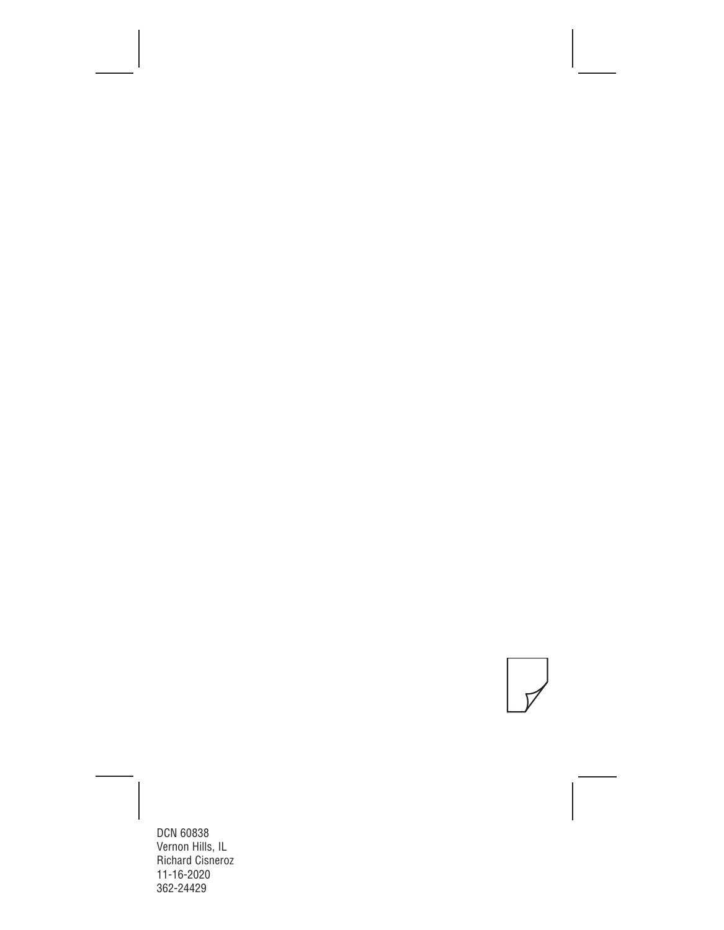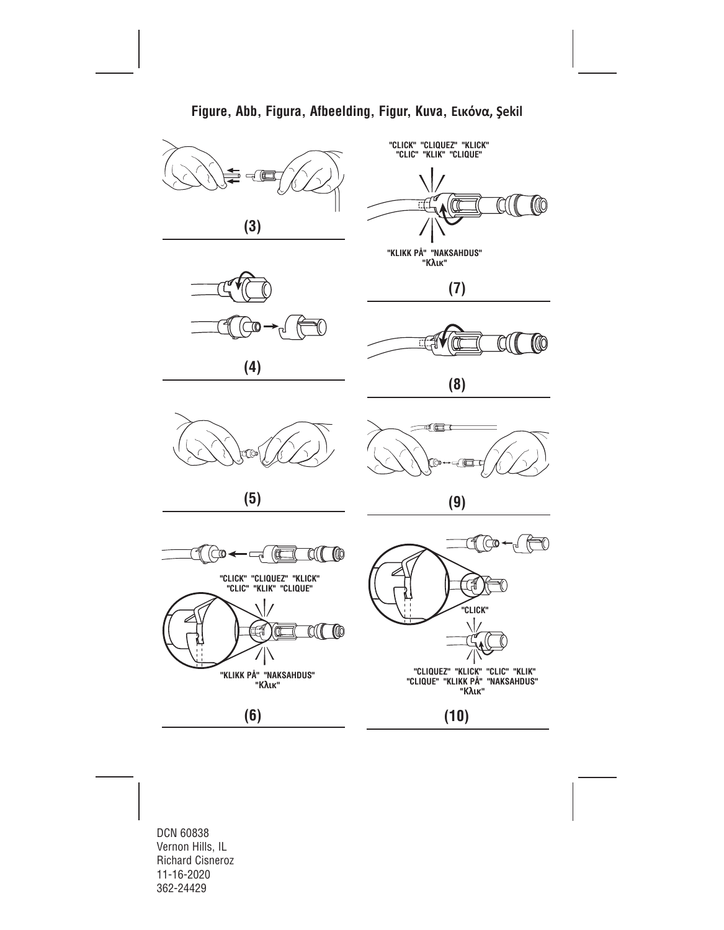

**Figure, Abb, Figura, Afbeelding, Figur, Kuva, Εικόνα, Şekil**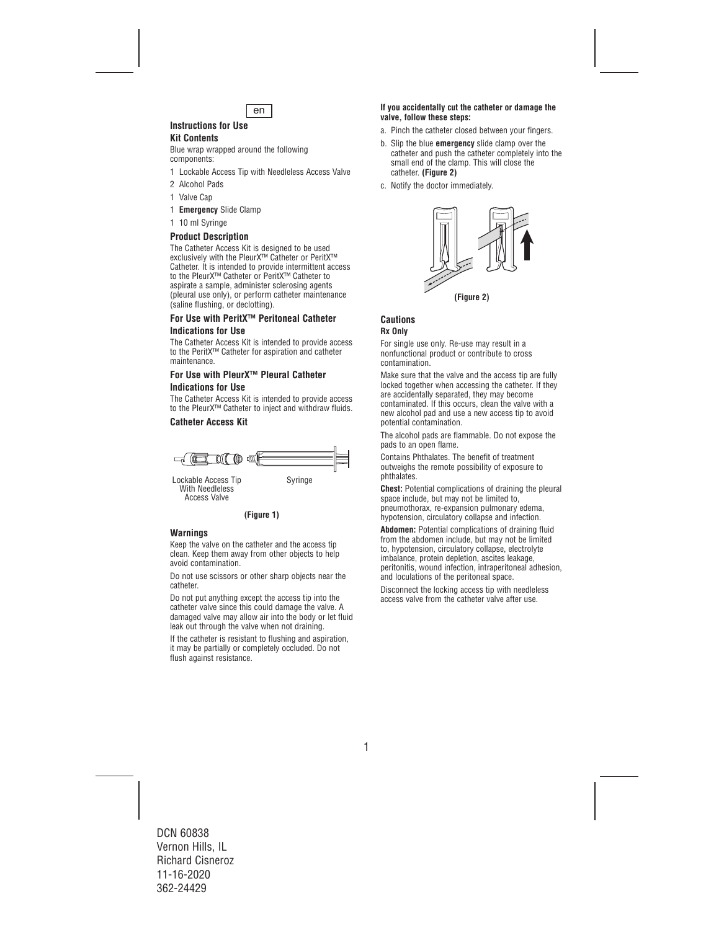

## **Instructions for Use**

## **Kit Contents**

Blue wrap wrapped around the following components:

- 1 Lockable Access Tip with Needleless Access Valve
- 2 Alcohol Pads
- 1 Valve Cap
- 1 **Emergency** Slide Clamp
- 1 10 ml Syringe

## **Product Description**

The Catheter Access Kit is designed to be used exclusively with the PleurX™ Catheter or PeritX™ Catheter. It is intended to provide intermittent access to the PleurX™ Catheter or PeritX™ Catheter to aspirate a sample, administer sclerosing agents (pleural use only), or perform catheter maintenance (saline flushing, or declotting).

## **For Use with PeritX™ Peritoneal Catheter**

#### **Indications for Use**

The Catheter Access Kit is intended to provide access to the PeritX™ Catheter for aspiration and catheter maintenance.

## **For Use with PleurX™ Pleural Catheter Indications for Use**

The Catheter Access Kit is intended to provide access to the PleurX™ Catheter to inject and withdraw fluids.

## **Catheter Access Kit**



With Needleless Access Valve



#### **Warnings**

Keep the valve on the catheter and the access tip clean. Keep them away from other objects to help avoid contamination.

Do not use scissors or other sharp objects near the catheter.

Do not put anything except the access tip into the catheter valve since this could damage the valve. A damaged valve may allow air into the body or let fluid leak out through the valve when not draining.

If the catheter is resistant to flushing and aspiration, it may be partially or completely occluded. Do not flush against resistance.

#### **If you accidentally cut the catheter or damage the valve, follow these steps:**

- a. Pinch the catheter closed between your fingers.
- b. Slip the blue **emergency** slide clamp over the catheter and push the catheter completely into the small end of the clamp. This will close the catheter. **(Figure 2)**
- c. Notify the doctor immediately.



#### **Cautions Rx Only**

For single use only. Re-use may result in a nonfunctional product or contribute to cross contamination.

Make sure that the valve and the access tip are fully locked together when accessing the catheter. If they are accidentally separated, they may become contaminated. If this occurs, clean the valve with a new alcohol pad and use a new access tip to avoid potential contamination.

The alcohol pads are flammable. Do not expose the pads to an open flame.

Contains Phthalates. The benefit of treatment outweighs the remote possibility of exposure to phthalates.

**Chest:** Potential complications of draining the pleural space include, but may not be limited to, pneumothorax, re-expansion pulmonary edema, hypotension, circulatory collapse and infection.

**Abdomen:** Potential complications of draining fluid from the abdomen include, but may not be limited to, hypotension, circulatory collapse, electrolyte imbalance, protein depletion, ascites leakage, peritonitis, wound infection, intraperitoneal adhesion, and loculations of the peritoneal space.

Disconnect the locking access tip with needleless access valve from the catheter valve after use.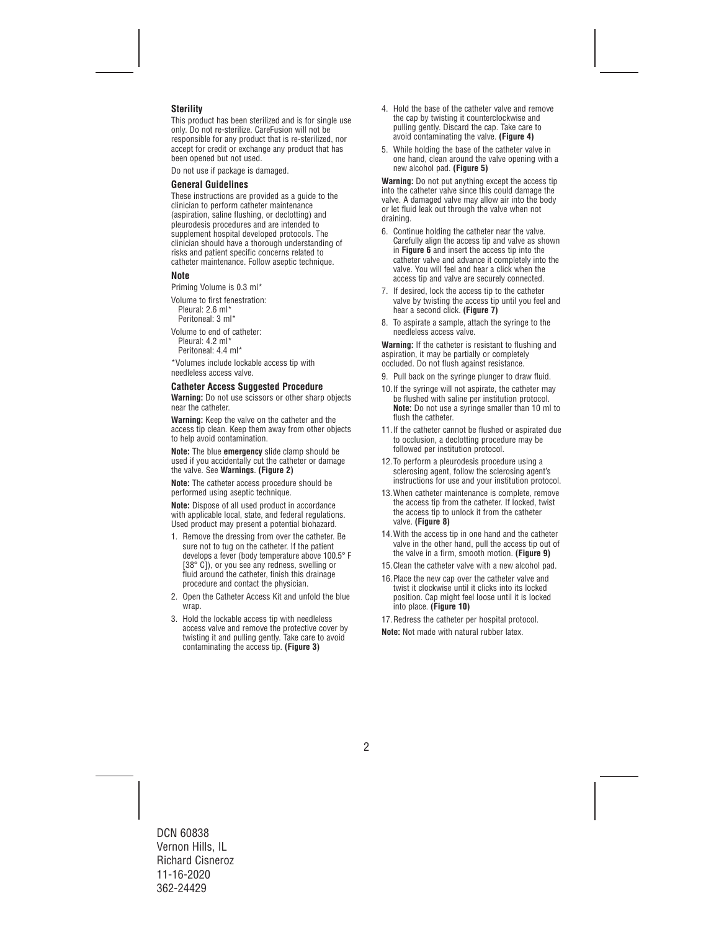## **Sterility**

This product has been sterilized and is for single use only. Do not re-sterilize. CareFusion will not be responsible for any product that is re-sterilized, nor accept for credit or exchange any product that has been opened but not used.

Do not use if package is damaged.

#### **General Guidelines**

These instructions are provided as a guide to the clinician to perform catheter maintenance (aspiration, saline flushing, or declotting) and pleurodesis procedures and are intended to supplement hospital developed protocols. The clinician should have a thorough understanding of risks and patient specific concerns related to catheter maintenance. Follow aseptic technique.

#### **Note**

Priming Volume is 0.3 ml\*

Volume to first fenestration: Pleural: 2.6 ml<sup>\*</sup> Peritoneal: 3 ml\*

Volume to end of catheter: Pleural: 4.2 ml\* Peritoneal: 4.4 ml\*

\*Volumes include lockable access tip with needleless access valve.

#### **Catheter Access Suggested Procedure**

**Warning:** Do not use scissors or other sharp objects near the catheter.

**Warning:** Keep the valve on the catheter and the access tip clean. Keep them away from other objects to help avoid contamination.

**Note:** The blue **emergency** slide clamp should be used if you accidentally cut the catheter or damage the valve. See **Warnings**. **(Figure 2)**

**Note:** The catheter access procedure should be performed using aseptic technique.

**Note:** Dispose of all used product in accordance with applicable local, state, and federal requiations. Used product may present a potential biohazard.

- 1. Remove the dressing from over the catheter. Be sure not to tug on the catheter. If the patient develops a fever (body temperature above 100.5° F [38° C]), or you see any redness, swelling or fluid around the catheter, finish this drainage procedure and contact the physician.
- 2. Open the Catheter Access Kit and unfold the blue wrap.
- 3. Hold the lockable access tip with needleless access valve and remove the protective cover by twisting it and pulling gently. Take care to avoid contaminating the access tip. **(Figure 3)**
- 4. Hold the base of the catheter valve and remove the cap by twisting it counterclockwise and pulling gently. Discard the cap. Take care to avoid contaminating the valve. **(Figure 4)**
- 5. While holding the base of the catheter valve in one hand, clean around the valve opening with a new alcohol pad. **(Figure 5)**

**Warning:** Do not put anything except the access tip into the catheter valve since this could damage the valve. A damaged valve may allow air into the body or let fluid leak out through the valve when not draining.

- 6. Continue holding the catheter near the valve. Carefully align the access tip and valve as shown in **Figure 6** and insert the access tip into the catheter valve and advance it completely into the valve. You will feel and hear a click when the access tip and valve are securely connected.
- 7. If desired, lock the access tip to the catheter valve by twisting the access tip until you feel and hear a second click. **(Figure 7)**
- 8. To aspirate a sample, attach the syringe to the needleless access valve.

**Warning:** If the catheter is resistant to flushing and aspiration, it may be partially or completely occluded. Do not flush against resistance.

- 9. Pull back on the syringe plunger to draw fluid.
- 10.If the syringe will not aspirate, the catheter may be flushed with saline per institution protocol. **Note:** Do not use a syringe smaller than 10 ml to flush the catheter.
- 11.If the catheter cannot be flushed or aspirated due to occlusion, a declotting procedure may be followed per institution protocol.
- 12.To perform a pleurodesis procedure using a sclerosing agent, follow the sclerosing agent's instructions for use and your institution protocol.
- 13.When catheter maintenance is complete, remove the access tip from the catheter. If locked, twist the access tip to unlock it from the catheter valve. **(Figure 8)**
- 14.With the access tip in one hand and the catheter valve in the other hand, pull the access tip out of the valve in a firm, smooth motion. **(Figure 9)**
- 15.Clean the catheter valve with a new alcohol pad.
- 16.Place the new cap over the catheter valve and twist it clockwise until it clicks into its locked position. Cap might feel loose until it is locked into place. **(Figure 10)**
- 17.Redress the catheter per hospital protocol.

**Note:** Not made with natural rubber latex.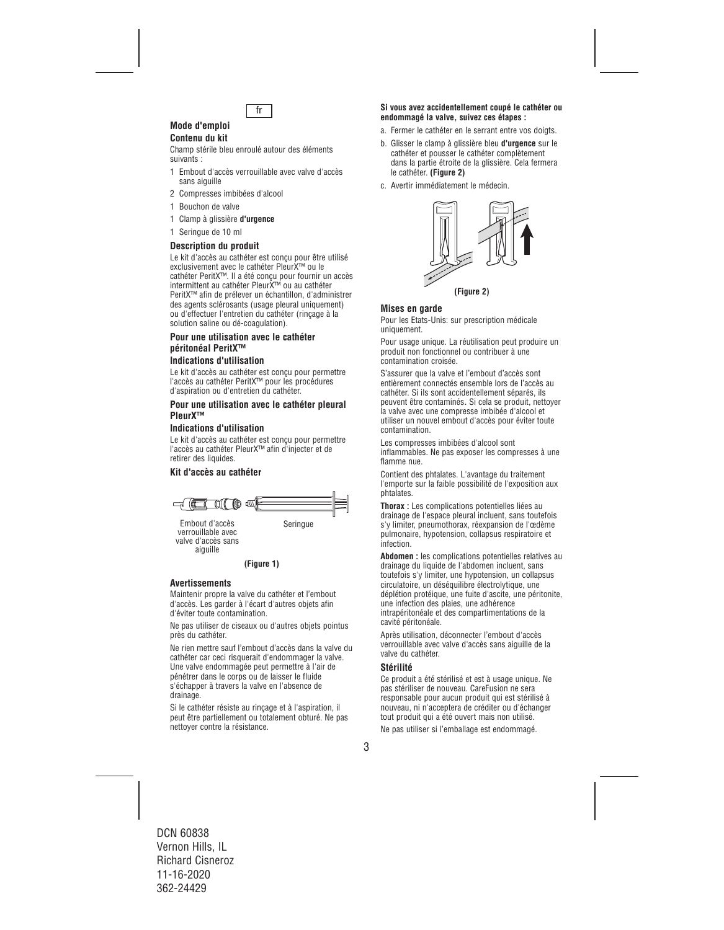

#### **Mode d'emploi Contenu du kit**

Champ stérile bleu enroulé autour des éléments suivants :

- 1 Embout d'accès verrouillable avec valve d'accès sans aiguille
- 2 Compresses imbibées d'alcool
- 1 Bouchon de valve
- 1 Clamp à glissière **d'urgence**
- 1 Seringue de 10 ml

#### **Description du produit**

Le kit d'accès au cathéter est conçu pour être utilisé exclusivement avec le cathéter PleurX™ ou le cathéter PeritX™. Il a été conçu pour fournir un accès intermittent au cathéter PleurX™ ou au cathéter PeritX™ afin de prélever un échantillon, d'administrer des agents sclérosants (usage pleural uniquement) ou d'effectuer l'entretien du cathéter (rinçage à la solution saline ou dé-coagulation).

## **Pour une utilisation avec le cathéter péritonéal PeritX™**

## **Indications d'utilisation**

Le kit d'accès au cathéter est conçu pour permettre l'accès au cathéter PeritX™ pour les procédures d'aspiration ou d'entretien du cathéter.

#### **Pour une utilisation avec le cathéter pleural PleurX™**

#### **Indications d'utilisation**

Le kit d'accès au cathéter est conçu pour permettre l'accès au cathéter PleurX™ afin d'injecter et de retirer des liquides.

## **Kit d'accès au cathéter**



valve d'accès sans aiguille

#### **(Figure 1)**

#### **Avertissements**

Maintenir propre la valve du cathéter et l'embout d'accès. Les garder à l'écart d'autres objets afin d'éviter toute contamination.

Ne pas utiliser de ciseaux ou d'autres objets pointus près du cathéter.

Ne rien mettre sauf l'embout d'accès dans la valve du cathéter car ceci risquerait d'endommager la valve. Une valve endommagée peut permettre à l'air de pénétrer dans le corps ou de laisser le fluide s'échapper à travers la valve en l'absence de drainage.

Si le cathéter résiste au rinçage et à l'aspiration, il peut être partiellement ou totalement obturé. Ne pas nettoyer contre la résistance.

#### fr **Si vous avez accidentellement coupé le cathéter ou endommagé la valve, suivez ces étapes :**

- a. Fermer le cathéter en le serrant entre vos doigts.
- b. Glisser le clamp à glissière bleu **d'urgence** sur le cathéter et pousser le cathéter complètement dans la partie étroite de la glissière. Cela fermera le cathéter. **(Figure 2)**
- c. Avertir immédiatement le médecin.



#### **Mises en garde**

Pour les Etats-Unis: sur prescription médicale uniquement.

Pour usage unique. La réutilisation peut produire un produit non fonctionnel ou contribuer à une contamination croisée.

S'assurer que la valve et l'embout d'accès sont entièrement connectés ensemble lors de l'accès au cathéter. Si ils sont accidentellement séparés, ils peuvent être contaminés. Si cela se produit, nettoyer la valve avec une compresse imbibée d'alcool et utiliser un nouvel embout d'accès pour éviter toute contamination.

Les compresses imbibées d'alcool sont inflammables. Ne pas exposer les compresses à une flamme nue.

Contient des phtalates. L'avantage du traitement l'emporte sur la faible possibilité de l'exposition aux phtalates.

**Thorax :** Les complications potentielles liées au drainage de l'espace pleural incluent, sans toutefois s'y limiter, pneumothorax, réexpansion de l'œdème pulmonaire, hypotension, collapsus respiratoire et infection.

**Abdomen :** les complications potentielles relatives au drainage du liquide de l'abdomen incluent, sans toutefois s'y limiter, une hypotension, un collapsus circulatoire, un déséquilibre électrolytique, une déplétion protéique, une fuite d'ascite, une péritonite, une infection des plaies, une adhérence intrapéritonéale et des compartimentations de la cavité péritonéale.

Après utilisation, déconnecter l'embout d'accès verrouillable avec valve d'accès sans aiguille de la valve du cathéter.

#### **Stérilité**

Ce produit a été stérilisé et est à usage unique. Ne pas stériliser de nouveau. CareFusion ne sera responsable pour aucun produit qui est stérilisé à nouveau, ni n'acceptera de créditer ou d'échanger tout produit qui a été ouvert mais non utilisé.

Ne pas utiliser si l'emballage est endommagé.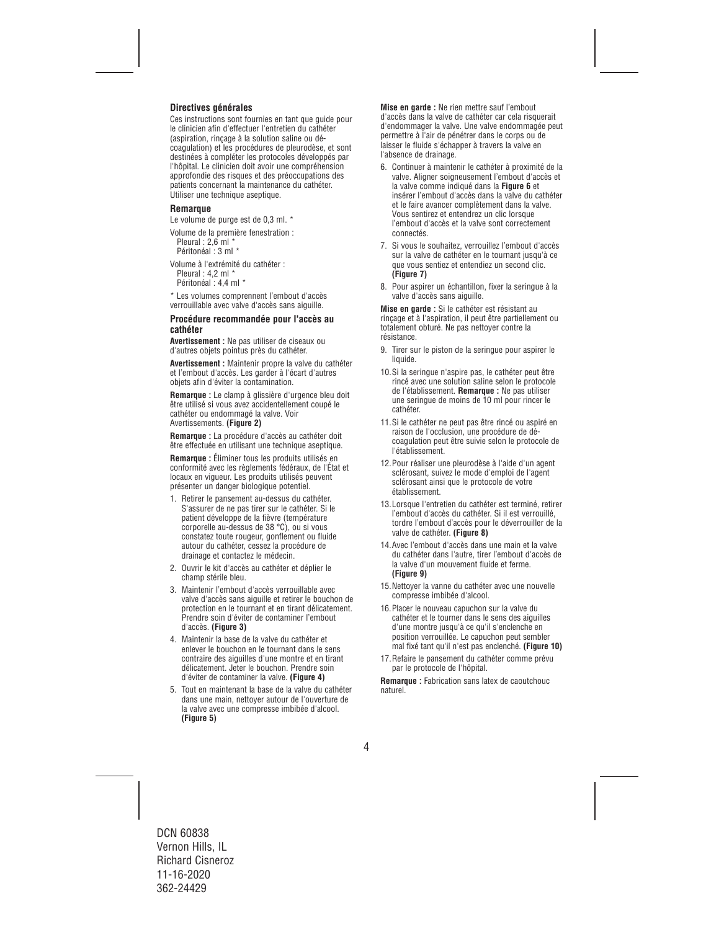### **Directives générales**

Ces instructions sont fournies en tant que guide pour le clinicien afin d'effectuer l'entretien du cathéter (aspiration, rinçage à la solution saline ou décoagulation) et les procédures de pleurodèse, et sont destinées à compléter les protocoles développés par l'hôpital. Le clinicien doit avoir une compréhension approfondie des risques et des préoccupations des patients concernant la maintenance du cathéter. Utiliser une technique aseptique.

#### **Remarque**

Le volume de purge est de 0,3 ml. \*

Volume de la première fenestration : Pleural : 2,6 ml \* Péritonéal : 3 ml \*

Volume à l'extrémité du cathéter : Pleural : 4.2 ml \* Péritonéal : 4.4 ml \*

\* Les volumes comprennent l'embout d'accès verrouillable avec valve d'accès sans aiguille.

#### **Procédure recommandée pour l'accès au cathéter**

**Avertissement :** Ne pas utiliser de ciseaux ou d'autres objets pointus près du cathéter.

**Avertissement :** Maintenir propre la valve du cathéter et l'embout d'accès. Les garder à l'écart d'autres objets afin d'éviter la contamination.

**Remarque :** Le clamp à glissière d'urgence bleu doit être utilisé si vous avez accidentellement coupé le cathéter ou endommagé la valve. Voir Avertissements. **(Figure 2)**

**Remarque :** La procédure d'accès au cathéter doit être effectuée en utilisant une technique aseptique.

**Remarque :** Éliminer tous les produits utilisés en conformité avec les règlements fédéraux, de l'État et locaux en vigueur. Les produits utilisés peuvent présenter un danger biologique potentiel.

- 1. Retirer le pansement au-dessus du cathéter. S'assurer de ne pas tirer sur le cathéter. Si le patient développe de la fièvre (température corporelle au-dessus de 38 °C), ou si vous constatez toute rougeur, gonflement ou fluide autour du cathéter, cessez la procédure de drainage et contactez le médecin.
- 2. Ouvrir le kit d'accès au cathéter et déplier le champ stérile bleu.
- 3. Maintenir l'embout d'accès verrouillable avec valve d'accès sans aiguille et retirer le bouchon de protection en le tournant et en tirant délicatement. Prendre soin d'éviter de contaminer l'embout d'accès. **(Figure 3)**
- 4. Maintenir la base de la valve du cathéter et enlever le bouchon en le tournant dans le sens contraire des aiguilles d'une montre et en tirant délicatement. Jeter le bouchon. Prendre soin d'éviter de contaminer la valve. **(Figure 4)**
- 5. Tout en maintenant la base de la valve du cathéter dans une main, nettoyer autour de l'ouverture de la valve avec une compresse imbibée d'alcool. **(Figure 5)**

**Mise en garde :** Ne rien mettre sauf l'embout d'accès dans la valve de cathéter car cela risquerait d'endommager la valve. Une valve endommagée peut permettre à l'air de pénétrer dans le corps ou de laisser le fluide s'échapper à travers la valve en l'absence de drainage.

- 6. Continuer à maintenir le cathéter à proximité de la valve. Aligner soigneusement l'embout d'accès et la valve comme indiqué dans la **Figure 6** et insérer l'embout d'accès dans la valve du cathéter et le faire avancer complètement dans la valve. Vous sentirez et entendrez un clic lorsque l'embout d'accès et la valve sont correctement connectés.
- 7. Si vous le souhaitez, verrouillez l'embout d'accès sur la valve de cathéter en le tournant jusqu'à ce que vous sentiez et entendiez un second clic. **(Figure 7)**
- 8. Pour aspirer un échantillon, fixer la seringue à la valve d'accès sans aiguille.

**Mise en garde :** Si le cathéter est résistant au rinçage et à l'aspiration, il peut être partiellement ou totalement obturé. Ne pas nettoyer contre la résistance.

- 9. Tirer sur le piston de la seringue pour aspirer le liquide.
- 10.Si la seringue n'aspire pas, le cathéter peut être rincé avec une solution saline selon le protocole de l'établissement. **Remarque :** Ne pas utiliser une seringue de moins de 10 ml pour rincer le cathéter.
- 11.Si le cathéter ne peut pas être rincé ou aspiré en raison de l'occlusion, une procédure de décoagulation peut être suivie selon le protocole de l'établissement.
- 12.Pour réaliser une pleurodèse à l'aide d'un agent sclérosant, suivez le mode d'emploi de l'agent sclérosant ainsi que le protocole de votre établissement.
- 13.Lorsque l'entretien du cathéter est terminé, retirer l'embout d'accès du cathéter. Si il est verrouillé, tordre l'embout d'accès pour le déverrouiller de la valve de cathéter. **(Figure 8)**
- 14.Avec l'embout d'accès dans une main et la valve du cathéter dans l'autre, tirer l'embout d'accès de la valve d'un mouvement fluide et ferme. **(Figure 9)**
- 15.Nettoyer la vanne du cathéter avec une nouvelle compresse imbibée d'alcool.
- 16.Placer le nouveau capuchon sur la valve du cathéter et le tourner dans le sens des aiguilles d'une montre jusqu'à ce qu'il s'enclenche en position verrouillée. Le capuchon peut sembler mal fixé tant qu'il n'est pas enclenché. **(Figure 10)**
- 17.Refaire le pansement du cathéter comme prévu par le protocole de l'hôpital.

**Remarque :** Fabrication sans latex de caoutchouc naturel.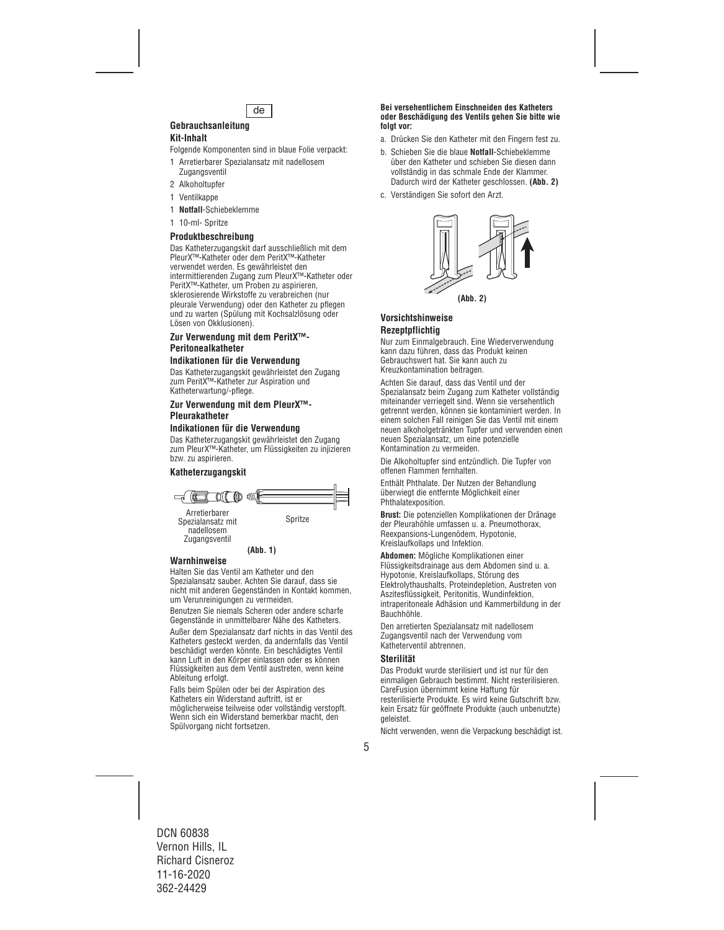

## **Gebrauchsanleitung**

## **Kit-Inhalt**

Folgende Komponenten sind in blaue Folie verpackt:

- 1 Arretierbarer Spezialansatz mit nadellosem **Zugangsventil**
- 2 Alkoholtupfer
- 1 Ventilkappe
- 1 **Notfall**-Schiebeklemme
- 1 10-ml- Spritze

## **Produktbeschreibung**

Das Katheterzugangskit darf ausschließlich mit dem PleurX™-Katheter oder dem PeritX™-Katheter verwendet werden. Es gewährleistet den intermittierenden Zugang zum PleurX™-Katheter oder PeritX™-Katheter, um Proben zu aspirieren, sklerosierende Wirkstoffe zu verabreichen (nur pleurale Verwendung) oder den Katheter zu pflegen und zu warten (Spülung mit Kochsalzlösung oder Lösen von Okklusionen).

## **Zur Verwendung mit dem PeritX™- Peritonealkatheter**

#### **Indikationen für die Verwendung**

Das Katheterzugangskit gewährleistet den Zugang zum PeritX™-Katheter zur Aspiration und Katheterwartung/-pflege.

#### **Zur Verwendung mit dem PleurX™- Pleurakatheter**

#### **Indikationen für die Verwendung**

Das Katheterzugangskit gewährleistet den Zugang zum PleurX™-Katheter, um Flüssigkeiten zu injizieren bzw. zu aspirieren.

## **Katheterzugangskit**



## **(Abb. 1)**

#### **Warnhinweise**

Halten Sie das Ventil am Katheter und den Spezialansatz sauber. Achten Sie darauf, dass sie nicht mit anderen Gegenständen in Kontakt kommen, um Verunreinigungen zu vermeiden.

Benutzen Sie niemals Scheren oder andere scharfe Gegenstände in unmittelbarer Nähe des Katheters.

Außer dem Spezialansatz darf nichts in das Ventil des Katheters gesteckt werden, da andernfalls das Ventil beschädigt werden könnte. Ein beschädigtes Ventil kann Luft in den Körper einlassen oder es können Flüssigkeiten aus dem Ventil austreten, wenn keine Ableitung erfolgt.

Falls beim Spülen oder bei der Aspiration des Katheters ein Widerstand auftritt, ist er möglicherweise teilweise oder vollständig verstopft. Wenn sich ein Widerstand bemerkbar macht, den Spülvorgang nicht fortsetzen.

#### **Bei versehentlichem Einschneiden des Katheters oder Beschädigung des Ventils gehen Sie bitte wie folgt vor:**

- a. Drücken Sie den Katheter mit den Fingern fest zu.
- b. Schieben Sie die blaue **Notfall**-Schiebeklemme über den Katheter und schieben Sie diesen dann vollständig in das schmale Ende der Klammer. Dadurch wird der Katheter geschlossen. **(Abb. 2)**
- c. Verständigen Sie sofort den Arzt.



## **Vorsichtshinweise Rezeptpflichtig**

Nur zum Einmalgebrauch. Eine Wiederverwendung kann dazu führen, dass das Produkt keinen Gebrauchswert hat. Sie kann auch zu Kreuzkontamination beitragen.

Achten Sie darauf, dass das Ventil und der Spezialansatz beim Zugang zum Katheter vollständig miteinander verriegelt sind. Wenn sie versehentlich getrennt werden, können sie kontaminiert werden. In einem solchen Fall reinigen Sie das Ventil mit einem neuen alkoholgetränkten Tupfer und verwenden einen neuen Spezialansatz, um eine potenzielle Kontamination zu vermeiden.

Die Alkoholtupfer sind entzündlich. Die Tupfer von offenen Flammen fernhalten.

Enthält Phthalate. Der Nutzen der Behandlung überwiegt die entfernte Möglichkeit einer Phthalatexposition.

**Brust:** Die potenziellen Komplikationen der Dränage der Pleurahöhle umfassen u. a. Pneumothorax, Reexpansions-Lungenödem, Hypotonie, Kreislaufkollaps und Infektion.

**Abdomen:** Mögliche Komplikationen einer Flüssigkeitsdrainage aus dem Abdomen sind u. a. Hypotonie, Kreislaufkollaps, Störung des Elektrolythaushalts, Proteindepletion, Austreten von Aszitesflüssigkeit, Peritonitis, Wundinfektion, intraperitoneale Adhäsion und Kammerbildung in der Bauchhöhle.

Den arretierten Spezialansatz mit nadellosem Zugangsventil nach der Verwendung vom Katheterventil abtrennen.

## **Sterilität**

Das Produkt wurde sterilisiert und ist nur für den einmaligen Gebrauch bestimmt. Nicht resterilisieren. CareFusion übernimmt keine Haftung für resterilisierte Produkte. Es wird keine Gutschrift bzw. kein Ersatz für geöffnete Produkte (auch unbenutzte) geleistet.

Nicht verwenden, wenn die Verpackung beschädigt ist.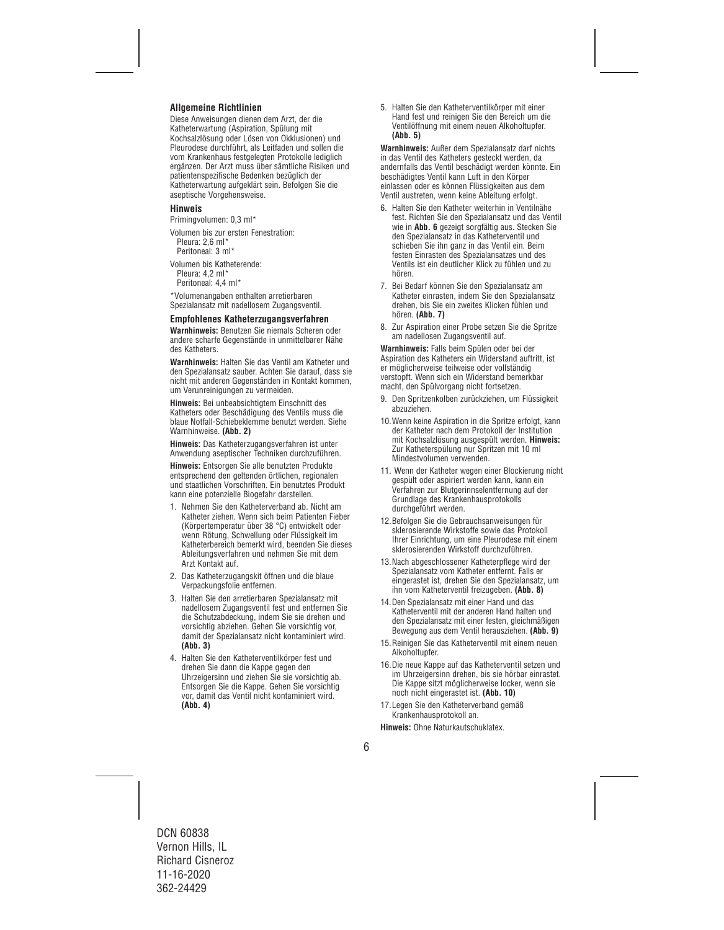## **Allgemeine Richtlinien**

Diese Anweisungen dienen dem Arzt, der die Katheterwartung (Aspiration, Spülung mit Kochsalzlösung oder Lösen von Okklusionen) und Pleurodese durchführt, als Leitfaden und sollen die vom Krankenhaus festgelegten Protokolle lediglich ergänzen. Der Arzt muss über sämtliche Risiken und patientenspezifische Bedenken bezüglich der Katheterwartung aufgeklärt sein. Befolgen Sie die aseptische Vorgehensweise.

#### **Hinweis**

Primingvolumen: 0,3 ml\*

Volumen bis zur ersten Fenestration: Pleura: 2,6 ml<sup>\*</sup>

Peritoneal: 3 ml\*

Volumen bis Katheterende: Pleura: 4,2 ml\* Peritoneal: 4,4 ml\*

\*Volumenangaben enthalten arretierbaren Spezialansatz mit nadellosem Zugangsventil.

#### **Empfohlenes Katheterzugangsverfahren**

**Warnhinweis:** Benutzen Sie niemals Scheren oder andere scharfe Gegenstände in unmittelbarer Nähe des Katheters.

**Warnhinweis:** Halten Sie das Ventil am Katheter und den Spezialansatz sauber. Achten Sie darauf, dass sie nicht mit anderen Gegenständen in Kontakt kommen, um Verunreinigungen zu vermeiden.

**Hinweis:** Bei unbeabsichtigtem Einschnitt des Katheters oder Beschädigung des Ventils muss die blaue Notfall-Schiebeklemme benutzt werden. Siehe Warnhinweise. **(Abb. 2)**

**Hinweis:** Das Katheterzugangsverfahren ist unter Anwendung aseptischer Techniken durchzuführen.

**Hinweis:** Entsorgen Sie alle benutzten Produkte entsprechend den geltenden örtlichen, regionalen und staatlichen Vorschriften. Ein benutztes Produkt kann eine potenzielle Biogefahr darstellen.

- 1. Nehmen Sie den Katheterverband ab. Nicht am Katheter ziehen. Wenn sich beim Patienten Fieber (Körpertemperatur über 38 °C) entwickelt oder wenn Rötung, Schwellung oder Flüssigkeit im Katheterbereich bemerkt wird, beenden Sie dieses Ableitungsverfahren und nehmen Sie mit dem Arzt Kontakt auf.
- 2. Das Katheterzugangskit öffnen und die blaue Verpackungsfolie entfernen.
- 3. Halten Sie den arretierbaren Spezialansatz mit nadellosem Zugangsventil fest und entfernen Sie die Schutzabdeckung, indem Sie sie drehen und vorsichtig abziehen. Gehen Sie vorsichtig vor, damit der Spezialansatz nicht kontaminiert wird. **(Abb. 3)**
- 4. Halten Sie den Katheterventilkörper fest und drehen Sie dann die Kappe gegen den Uhrzeigersinn und ziehen Sie sie vorsichtig ab. Entsorgen Sie die Kappe. Gehen Sie vorsichtig vor, damit das Ventil nicht kontaminiert wird. **(Abb. 4)**

5. Halten Sie den Katheterventilkörper mit einer Hand fest und reinigen Sie den Bereich um die Ventilöffnung mit einem neuen Alkoholtupfer. **(Abb. 5)**

**Warnhinweis:** Außer dem Spezialansatz darf nichts in das Ventil des Katheters gesteckt werden, da andernfalls das Ventil beschädigt werden könnte. Ein beschädigtes Ventil kann Luft in den Körper einlassen oder es können Flüssigkeiten aus dem Ventil austreten, wenn keine Ableitung erfolgt.

- 6. Halten Sie den Katheter weiterhin in Ventilnähe fest. Richten Sie den Spezialansatz und das Ventil wie in **Abb. 6** gezeigt sorgfältig aus. Stecken Sie den Spezialansatz in das Katheterventil und schieben Sie ihn ganz in das Ventil ein. Beim festen Einrasten des Spezialansatzes und des Ventils ist ein deutlicher Klick zu fühlen und zu hören.
- 7. Bei Bedarf können Sie den Spezialansatz am Katheter einrasten, indem Sie den Spezialansatz drehen, bis Sie ein zweites Klicken fühlen und hören. **(Abb. 7)**
- 8. Zur Aspiration einer Probe setzen Sie die Spritze am nadellosen Zugangsventil auf.

**Warnhinweis:** Falls beim Spülen oder bei der Aspiration des Katheters ein Widerstand auftritt, ist er möglicherweise teilweise oder vollständig verstopft. Wenn sich ein Widerstand bemerkbar macht, den Spülvorgang nicht fortsetzen.

- 9. Den Spritzenkolben zurückziehen, um Flüssigkeit abzuziehen.
- 10.Wenn keine Aspiration in die Spritze erfolgt, kann der Katheter nach dem Protokoll der Institution mit Kochsalzlösung ausgespült werden. **Hinweis:** Zur Katheterspülung nur Spritzen mit 10 ml Mindestvolumen verwenden.
- 11. Wenn der Katheter wegen einer Blockierung nicht gespült oder aspiriert werden kann, kann ein Verfahren zur Blutgerinnselentfernung auf der Grundlage des Krankenhausprotokolls durchgeführt werden.
- 12.Befolgen Sie die Gebrauchsanweisungen für sklerosierende Wirkstoffe sowie das Protokoll Ihrer Einrichtung, um eine Pleurodese mit einem sklerosierenden Wirkstoff durchzuführen.
- 13.Nach abgeschlossener Katheterpflege wird der Spezialansatz vom Katheter entfernt. Falls er eingerastet ist, drehen Sie den Spezialansatz, um ihn vom Katheterventil freizugeben. **(Abb. 8)**
- 14.Den Spezialansatz mit einer Hand und das Katheterventil mit der anderen Hand halten und den Spezialansatz mit einer festen, gleichmäßigen Bewegung aus dem Ventil herausziehen. **(Abb. 9)**
- 15.Reinigen Sie das Katheterventil mit einem neuen Alkoholtupfer.
- 16.Die neue Kappe auf das Katheterventil setzen und im Uhrzeigersinn drehen, bis sie hörbar einrastet. Die Kappe sitzt möglicherweise locker, wenn sie noch nicht eingerastet ist. **(Abb. 10)**
- 17.Legen Sie den Katheterverband gemäß Krankenhausprotokoll an.

**Hinweis:** Ohne Naturkautschuklatex.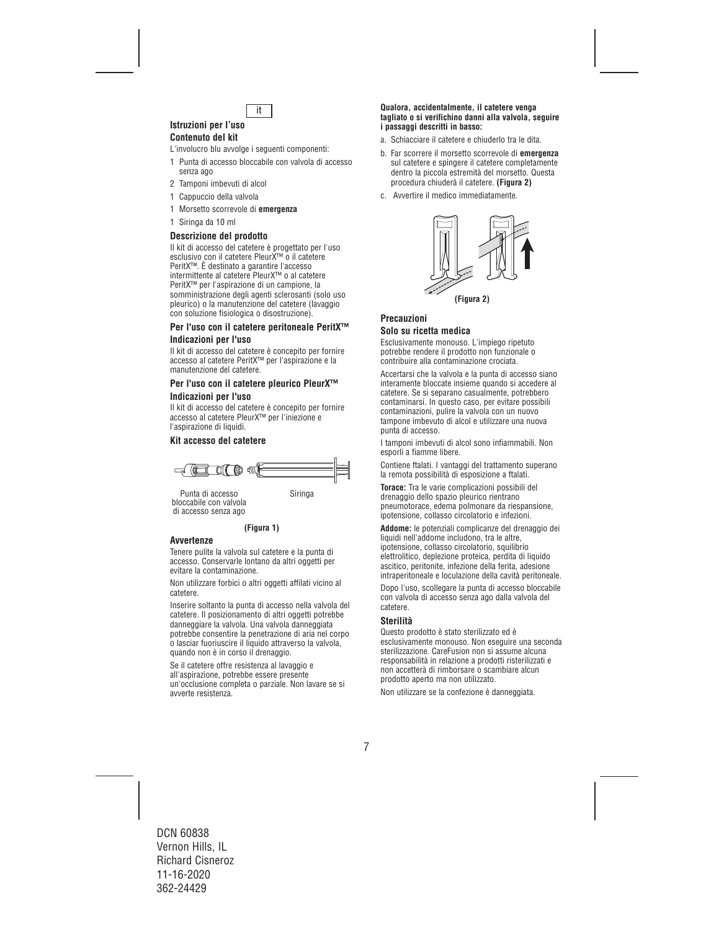

#### **Istruzioni per l'uso Contenuto del kit**

L'involucro blu avvolge i seguenti componenti:

- 1 Punta di accesso bloccabile con valvola di accesso senza ago
- 2 Tamponi imbevuti di alcol
- 1 Cappuccio della valvola
- 1 Morsetto scorrevole di **emergenza**
- 1 Siringa da 10 ml

## **Descrizione del prodotto**

Il kit di accesso del catetere è progettato per l'uso esclusivo con il catetere PleurX™ o il catetere PeritX™. È destinato a garantire l'accesso intermittente al catetere PleurX™ o al catetere PeritX™ per l'aspirazione di un campione, la somministrazione degli agenti sclerosanti (solo uso pleurico) o la manutenzione del catetere (lavaggio con soluzione fisiologica o disostruzione).

## **Per l'uso con il catetere peritoneale PeritX™ Indicazioni per l'uso**

Il kit di accesso del catetere è concepito per fornire accesso al catetere PeritX™ per l'aspirazione e la manutenzione del catetere.

## **Per l'uso con il catetere pleurico PleurX™ Indicazioni per l'uso**

Il kit di accesso del catetere è concepito per fornire accesso al catetere PleurX™ per l'iniezione e l'aspirazione di liquidi.

## **Kit accesso del catetere**



Punta di accesso in Siringa bloccabile con valvola di accesso senza ago

**(Figura 1)**

## **Avvertenze**

Tenere pulite la valvola sul catetere e la punta di accesso. Conservarle lontano da altri oggetti per evitare la contaminazione.

Non utilizzare forbici o altri oggetti affilati vicino al catetere.

Inserire soltanto la punta di accesso nella valvola del catetere. Il posizionamento di altri oggetti potrebbe danneggiare la valvola. Una valvola danneggiata potrebbe consentire la penetrazione di aria nel corpo o lasciar fuoriuscire il liquido attraverso la valvola, quando non è in corso il drenaggio.

Se il catetere offre resistenza al lavaggio e all'aspirazione, potrebbe essere presente un'occlusione completa o parziale. Non lavare se si avverte resistenza.

#### **Qualora, accidentalmente, il catetere venga tagliato o si verifichino danni alla valvola, seguire i passaggi descritti in basso:**

- a. Schiacciare il catetere e chiuderlo tra le dita.
- b. Far scorrere il morsetto scorrevole di **emergenza**  sul catetere e spingere il catetere completamente dentro la piccola estremità del morsetto. Questa procedura chiuderà il catetere. **(Figura 2)**
- c. Avvertire il medico immediatamente.



## **Precauzioni Solo su ricetta medica**

Esclusivamente monouso. L'impiego ripetuto potrebbe rendere il prodotto non funzionale o contribuire alla contaminazione crociata.

Accertarsi che la valvola e la punta di accesso siano interamente bloccate insieme quando si accedere al catetere. Se si separano casualmente, potrebbero contaminarsi. In questo caso, per evitare possibili contaminazioni, pulire la valvola con un nuovo tampone imbevuto di alcol e utilizzare una nuova punta di accesso.

I tamponi imbevuti di alcol sono infiammabili. Non esporli a fiamme libere.

Contiene ftalati. I vantaggi del trattamento superano la remota possibilità di esposizione a ftalati.

**Torace:** Tra le varie complicazioni possibili del drenaggio dello spazio pleurico rientrano pneumotorace, edema polmonare da riespansione, ipotensione, collasso circolatorio e infezioni.

**Addome:** le potenziali complicanze del drenaggio dei liquidi nell'addome includono, tra le altre, ipotensione, collasso circolatorio, squilibrio elettrolitico, deplezione proteica, perdita di liquido ascitico, peritonite, infezione della ferita, adesione intraperitoneale e loculazione della cavità peritoneale.

Dopo l'uso, scollegare la punta di accesso bloccabile con valvola di accesso senza ago dalla valvola del catetere.

## **Sterilità**

Questo prodotto è stato sterilizzato ed è esclusivamente monouso. Non eseguire una seconda sterilizzazione. CareFusion non si assume alcuna responsabilità in relazione a prodotti risterilizzati e non accetterà di rimborsare o scambiare alcun prodotto aperto ma non utilizzato.

Non utilizzare se la confezione è danneggiata.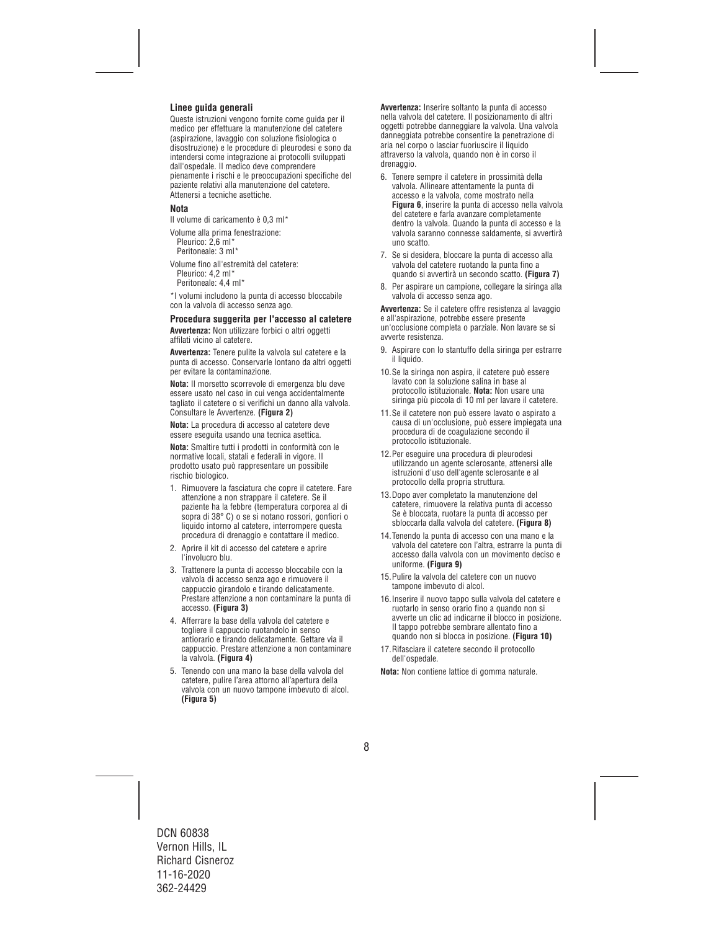## **Linee guida generali**

Queste istruzioni vengono fornite come guida per il medico per effettuare la manutenzione del catetere (aspirazione, lavaggio con soluzione fisiologica o disostruzione) e le procedure di pleurodesi e sono da intendersi come integrazione ai protocolli sviluppati dall'ospedale. Il medico deve comprendere pienamente i rischi e le preoccupazioni specifiche del paziente relativi alla manutenzione del catetere. Attenersi a tecniche asettiche.

#### **Nota**

Il volume di caricamento è 0,3 ml\*

Volume alla prima fenestrazione: Pleurico: 2.6 ml<sup>\*</sup> Peritoneale: 3 ml\*

Volume fino all'estremità del catetere: Pleurico: 4,2 ml\* Peritoneale: 4,4 ml\*

\*I volumi includono la punta di accesso bloccabile con la valvola di accesso senza ago.

#### **Procedura suggerita per l'accesso al catetere**

**Avvertenza:** Non utilizzare forbici o altri oggetti affilati vicino al catetere.

**Avvertenza:** Tenere pulite la valvola sul catetere e la punta di accesso. Conservarle lontano da altri oggetti per evitare la contaminazione.

**Nota:** Il morsetto scorrevole di emergenza blu deve essere usato nel caso in cui venga accidentalmente tagliato il catetere o si verifichi un danno alla valvola. Consultare le Avvertenze. **(Figura 2)**

**Nota:** La procedura di accesso al catetere deve essere eseguita usando una tecnica asettica.

**Nota:** Smaltire tutti i prodotti in conformità con le normative locali, statali e federali in vigore. Il prodotto usato può rappresentare un possibile rischio biologico.

- 1. Rimuovere la fasciatura che copre il catetere. Fare attenzione a non strappare il catetere. Se il paziente ha la febbre (temperatura corporea al di sopra di 38° C) o se si notano rossori, gonfiori o liquido intorno al catetere, interrompere questa procedura di drenaggio e contattare il medico.
- 2. Aprire il kit di accesso del catetere e aprire l'involucro blu.
- 3. Trattenere la punta di accesso bloccabile con la valvola di accesso senza ago e rimuovere il cappuccio girandolo e tirando delicatamente. Prestare attenzione a non contaminare la punta di accesso. **(Figura 3)**
- 4. Afferrare la base della valvola del catetere e togliere il cappuccio ruotandolo in senso antiorario e tirando delicatamente. Gettare via il cappuccio. Prestare attenzione a non contaminare la valvola. **(Figura 4)**
- 5. Tenendo con una mano la base della valvola del catetere, pulire l'area attorno all'apertura della valvola con un nuovo tampone imbevuto di alcol. **(Figura 5)**

**Avvertenza:** Inserire soltanto la punta di accesso nella valvola del catetere. Il posizionamento di altri oggetti potrebbe danneggiare la valvola. Una valvola danneggiata potrebbe consentire la penetrazione di aria nel corpo o lasciar fuoriuscire il liquido attraverso la valvola, quando non è in corso il drenaggio

- 6. Tenere sempre il catetere in prossimità della valvola. Allineare attentamente la punta di accesso e la valvola, come mostrato nella **Figura 6**, inserire la punta di accesso nella valvola del catetere e farla avanzare completamente dentro la valvola. Quando la punta di accesso e la valvola saranno connesse saldamente, si avvertirà uno scatto.
- 7. Se si desidera, bloccare la punta di accesso alla valvola del catetere ruotando la punta fino a quando si avvertirà un secondo scatto. **(Figura 7)**
- 8. Per aspirare un campione, collegare la siringa alla valvola di accesso senza ago.

**Avvertenza:** Se il catetere offre resistenza al lavaggio e all'aspirazione, potrebbe essere presente un'occlusione completa o parziale. Non lavare se si avverte resistenza.

- 9. Aspirare con lo stantuffo della siringa per estrarre il liquido.
- 10.Se la siringa non aspira, il catetere può essere lavato con la soluzione salina in base al protocollo istituzionale. **Nota:** Non usare una siringa più piccola di 10 ml per lavare il catetere.
- 11.Se il catetere non può essere lavato o aspirato a causa di un'occlusione, può essere impiegata una procedura di de coagulazione secondo il protocollo istituzionale.
- 12.Per eseguire una procedura di pleurodesi utilizzando un agente sclerosante, attenersi alle istruzioni d'uso dell'agente sclerosante e al protocollo della propria struttura.
- 13.Dopo aver completato la manutenzione del catetere, rimuovere la relativa punta di accesso Se è bloccata, ruotare la punta di accesso per sbloccarla dalla valvola del catetere. **(Figura 8)**
- 14.Tenendo la punta di accesso con una mano e la valvola del catetere con l'altra, estrarre la punta di accesso dalla valvola con un movimento deciso e uniforme. **(Figura 9)**
- 15.Pulire la valvola del catetere con un nuovo tampone imbevuto di alcol.
- 16.Inserire il nuovo tappo sulla valvola del catetere e ruotarlo in senso orario fino a quando non si avverte un clic ad indicarne il blocco in posizione. Il tappo potrebbe sembrare allentato fino a quando non si blocca in posizione. **(Figura 10)**
- 17.Rifasciare il catetere secondo il protocollo dell'ospedale.

**Nota:** Non contiene lattice di gomma naturale.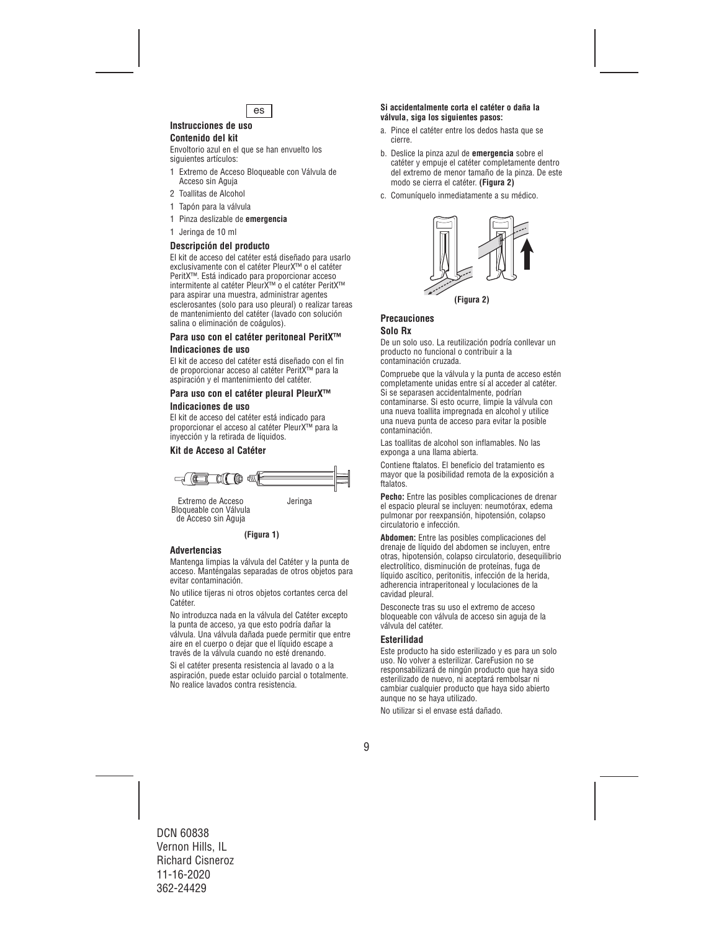

## **Instrucciones de uso**

## **Contenido del kit**

Envoltorio azul en el que se han envuelto los siguientes artículos:

- 1 Extremo de Acceso Bloqueable con Válvula de Acceso sin Aguja
- 2 Toallitas de Alcohol
- 1 Tapón para la válvula
- 1 Pinza deslizable de **emergencia**
- 1 Jeringa de 10 ml

### **Descripción del producto**

El kit de acceso del catéter está diseñado para usarlo exclusivamente con el catéter PleurX™ o el catéter PeritX™. Está indicado para proporcionar acceso intermitente al catéter PleurX™ o el catéter PeritX™ para aspirar una muestra, administrar agentes esclerosantes (solo para uso pleural) o realizar tareas de mantenimiento del catéter (lavado con solución salina o eliminación de coágulos).

#### **Para uso con el catéter peritoneal PeritX™ Indicaciones de uso**

El kit de acceso del catéter está diseñado con el fin de proporcionar acceso al catéter PeritX™ para la aspiración y el mantenimiento del catéter.

### **Para uso con el catéter pleural PleurX™ Indicaciones de uso**

El kit de acceso del catéter está indicado para proporcionar el acceso al catéter PleurX™ para la inyección y la retirada de líquidos.

## **Kit de Acceso al Catéter**



Extremo de Acceso Jeringa Bloqueable con Válvula de Acceso sin Aguja

#### **(Figura 1)**

## **Advertencias**

Mantenga limpias la válvula del Catéter y la punta de acceso. Manténgalas separadas de otros objetos para evitar contaminación.

No utilice tijeras ni otros objetos cortantes cerca del Catéter.

No introduzca nada en la válvula del Catéter excepto la punta de acceso, ya que esto podría dañar la válvula. Una válvula dañada puede permitir que entre aire en el cuerpo o dejar que el líquido escape a través de la válvula cuando no esté drenando.

Si el catéter presenta resistencia al lavado o a la aspiración, puede estar ocluido parcial o totalmente. No realice lavados contra resistencia.

#### **Si accidentalmente corta el catéter o daña la válvula, siga los siguientes pasos:**

- a. Pince el catéter entre los dedos hasta que se cierre.
- b. Deslice la pinza azul de **emergencia** sobre el catéter y empuje el catéter completamente dentro del extremo de menor tamaño de la pinza. De este modo se cierra el catéter. **(Figura 2)**
- c. Comuníquelo inmediatamente a su médico.



## **Precauciones**

## **Solo Rx**

De un solo uso. La reutilización podría conllevar un producto no funcional o contribuir a la contaminación cruzada.

Compruebe que la válvula y la punta de acceso estén completamente unidas entre sí al acceder al catéter. Si se separasen accidentalmente, podrían contaminarse. Si esto ocurre, limpie la válvula con una nueva toallita impregnada en alcohol y utilice una nueva punta de acceso para evitar la posible contaminación.

Las toallitas de alcohol son inflamables. No las exponga a una llama abierta.

Contiene ftalatos. El beneficio del tratamiento es mayor que la posibilidad remota de la exposición a ftalatos.

**Pecho:** Entre las posibles complicaciones de drenar el espacio pleural se incluyen: neumotórax, edema pulmonar por reexpansión, hipotensión, colapso circulatorio e infección.

**Abdomen:** Entre las posibles complicaciones del drenaje de líquido del abdomen se incluyen, entre otras, hipotensión, colapso circulatorio, desequilibrio electrolítico, disminución de proteínas, fuga de líquido ascítico, peritonitis, infección de la herida, adherencia intraperitoneal y loculaciones de la cavidad pleural.

Desconecte tras su uso el extremo de acceso bloqueable con válvula de acceso sin aguja de la válvula del catéter.

#### **Esterilidad**

Este producto ha sido esterilizado y es para un solo uso. No volver a esterilizar. CareFusion no se responsabilizará de ningún producto que haya sido esterilizado de nuevo, ni aceptará rembolsar ni cambiar cualquier producto que haya sido abierto aunque no se haya utilizado.

No utilizar si el envase está dañado.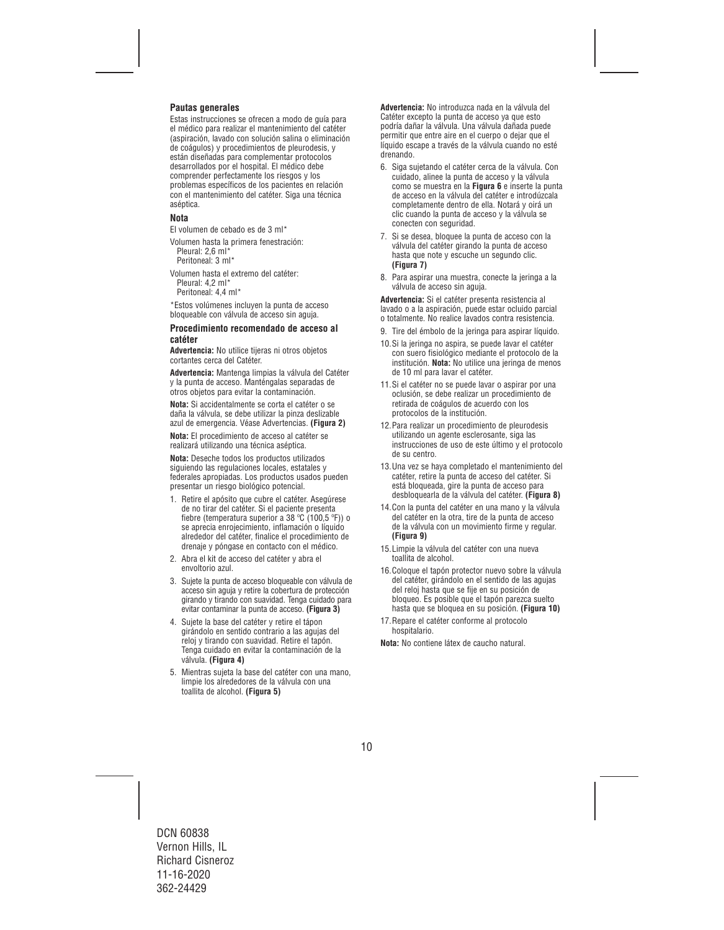## **Pautas generales**

Estas instrucciones se ofrecen a modo de guía para el médico para realizar el mantenimiento del catéter (aspiración, lavado con solución salina o eliminación de coágulos) y procedimientos de pleurodesis, y están diseñadas para complementar protocolos desarrollados por el hospital. El médico debe comprender perfectamente los riesgos y los problemas específicos de los pacientes en relación con el mantenimiento del catéter. Siga una técnica aséptica.

#### **Nota**

El volumen de cebado es de 3 ml\*

Volumen hasta la primera fenestración: Pleural: 2,6 ml\* Peritoneal: 3 ml\*

Volumen hasta el extremo del catéter: Pleural: 4,2 ml\*

Peritoneal: 4,4 ml\*

\*Estos volúmenes incluyen la punta de acceso bloqueable con válvula de acceso sin aguja.

#### **Procedimiento recomendado de acceso al catéter**

**Advertencia:** No utilice tijeras ni otros objetos cortantes cerca del Catéter.

**Advertencia:** Mantenga limpias la válvula del Catéter y la punta de acceso. Manténgalas separadas de otros objetos para evitar la contaminación.

**Nota:** Si accidentalmente se corta el catéter o se daña la válvula, se debe utilizar la pinza deslizable azul de emergencia. Véase Advertencias. **(Figura 2)**

**Nota:** El procedimiento de acceso al catéter se realizará utilizando una técnica aséptica.

**Nota:** Deseche todos los productos utilizados siguiendo las regulaciones locales, estatales y federales apropiadas. Los productos usados pueden presentar un riesgo biológico potencial.

- 1. Retire el apósito que cubre el catéter. Asegúrese de no tirar del catéter. Si el paciente presenta fiebre (temperatura superior a 38 ºC (100,5 ºF)) o se aprecia enrojecimiento, inflamación o líquido alrededor del catéter, finalice el procedimiento de drenaje y póngase en contacto con el médico.
- 2. Abra el kit de acceso del catéter y abra el envoltorio azul.
- 3. Sujete la punta de acceso bloqueable con válvula de acceso sin aguja y retire la cobertura de protección girando y tirando con suavidad. Tenga cuidado para evitar contaminar la punta de acceso. **(Figura 3)**
- 4. Sujete la base del catéter y retire el tápon girándolo en sentido contrario a las agujas del reloj y tirando con suavidad. Retire el tapón. Tenga cuidado en evitar la contaminación de la válvula. **(Figura 4)**
- 5. Mientras sujeta la base del catéter con una mano, limpie los alrededores de la válvula con una toallita de alcohol. **(Figura 5)**

**Advertencia:** No introduzca nada en la válvula del Catéter excepto la punta de acceso ya que esto podría dañar la válvula. Una válvula dañada puede permitir que entre aire en el cuerpo o dejar que el líquido escape a través de la válvula cuando no esté drenando.

- 6. Siga sujetando el catéter cerca de la válvula. Con cuidado, alinee la punta de acceso y la válvula como se muestra en la **Figura 6** e inserte la punta de acceso en la válvula del catéter e introdúzcala completamente dentro de ella. Notará y oirá un clic cuando la punta de acceso y la válvula se conecten con seguridad.
- 7. Si se desea, bloquee la punta de acceso con la válvula del catéter girando la punta de acceso hasta que note y escuche un segundo clic. **(Figura 7)**
- 8. Para aspirar una muestra, conecte la jeringa a la válvula de acceso sin aguja.

**Advertencia:** Si el catéter presenta resistencia al lavado o a la aspiración, puede estar ocluido parcial o totalmente. No realice lavados contra resistencia.

- 9. Tire del émbolo de la jeringa para aspirar líquido.
- 10.Si la jeringa no aspira, se puede lavar el catéter con suero fisiológico mediante el protocolo de la institución. **Nota:** No utilice una jeringa de menos de 10 ml para lavar el catéter.
- 11.Si el catéter no se puede lavar o aspirar por una oclusión, se debe realizar un procedimiento de retirada de coágulos de acuerdo con los protocolos de la institución.
- 12.Para realizar un procedimiento de pleurodesis utilizando un agente esclerosante, siga las instrucciones de uso de este último y el protocolo de su centro.
- 13.Una vez se haya completado el mantenimiento del catéter, retire la punta de acceso del catéter. Si está bloqueada, gire la punta de acceso para desbloquearla de la válvula del catéter. **(Figura 8)**
- 14.Con la punta del catéter en una mano y la válvula del catéter en la otra, tire de la punta de acceso de la válvula con un movimiento firme y regular. **(Figura 9)**
- 15.Limpie la válvula del catéter con una nueva toallita de alcohol.
- 16.Coloque el tapón protector nuevo sobre la válvula del catéter, girándolo en el sentido de las agujas del reloj hasta que se fije en su posición de bloqueo. Es posible que el tapón parezca suelto hasta que se bloquea en su posición. **(Figura 10)**
- 17.Repare el catéter conforme al protocolo hospitalario.

**Nota:** No contiene látex de caucho natural.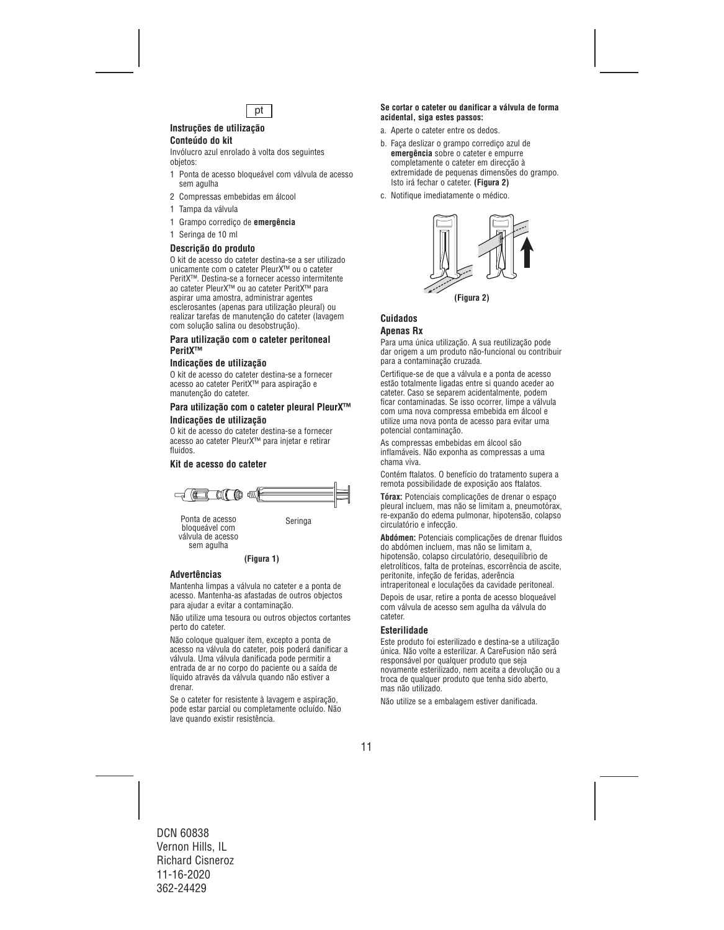

#### **Instruções de utilização Conteúdo do kit**

Invólucro azul enrolado à volta dos seguintes objetos:

- 1 Ponta de acesso bloqueável com válvula de acesso sem agulha
- 2 Compressas embebidas em álcool
- 1 Tampa da válvula
- 1 Grampo corrediço de **emergência**
- 1 Seringa de 10 ml

#### **Descrição do produto**

O kit de acesso do cateter destina-se a ser utilizado unicamente com o cateter PleurX™ ou o cateter PeritX™. Destina-se a fornecer acesso intermitente ao cateter PleurX™ ou ao cateter PeritX™ para aspirar uma amostra, administrar agentes esclerosantes (apenas para utilização pleural) ou realizar tarefas de manutenção do cateter (lavagem com solução salina ou desobstrução).

#### **Para utilização com o cateter peritoneal PeritX™**

#### **Indicações de utilização**

O kit de acesso do cateter destina-se a fornecer acesso ao cateter PeritX™ para aspiração e manutenção do cateter.

### **Para utilização com o cateter pleural PleurX™ Indicações de utilização**

O kit de acesso do cateter destina-se a fornecer acesso ao cateter PleurX™ para injetar e retirar fluidos.

## **Kit de acesso do cateter**



Ponta de acesso<br>bloqueável com válvula de acesso sem agulha

**(Figura 1)**

#### **Advertências**

Mantenha limpas a válvula no cateter e a ponta de acesso. Mantenha-as afastadas de outros objectos para ajudar a evitar a contaminação.

Não utilize uma tesoura ou outros objectos cortantes perto do cateter.

Não coloque qualquer item, excepto a ponta de acesso na válvula do cateter, pois poderá danificar a válvula. Uma válvula danificada pode permitir a entrada de ar no corpo do paciente ou a saída de líquido através da válvula quando não estiver a drenar.

Se o cateter for resistente à lavagem e aspiração, pode estar parcial ou completamente ocluído. Não lave quando existir resistência.

#### **Se cortar o cateter ou danificar a válvula de forma acidental, siga estes passos:**

- a. Aperte o cateter entre os dedos.
- b. Faça deslizar o grampo corrediço azul de **emergência** sobre o cateter e empurre completamente o cateter em direcção à extremidade de pequenas dimensões do grampo. Isto irá fechar o cateter. **(Figura 2)**
- c. Notifique imediatamente o médico.



## **Cuidados Apenas Rx**

Para uma única utilização. A sua reutilização pode dar origem a um produto não-funcional ou contribuir para a contaminação cruzada.

Certifique-se de que a válvula e a ponta de acesso estão totalmente ligadas entre si quando aceder ao cateter. Caso se separem acidentalmente, podem ficar contaminadas. Se isso ocorrer, limpe a válvula com uma nova compressa embebida em álcool e utilize uma nova ponta de acesso para evitar uma potencial contaminação.

As compressas embebidas em álcool são inflamáveis. Não exponha as compressas a uma chama viva.

Contém ftalatos. O benefício do tratamento supera a remota possibilidade de exposição aos ftalatos.

**Tórax:** Potenciais complicações de drenar o espaço pleural incluem, mas não se limitam a, pneumotórax, re-expanão do edema pulmonar, hipotensão, colapso circulatório e infecção.

**Abdómen:** Potenciais complicações de drenar fluidos do abdómen incluem, mas não se limitam a, hipotensão, colapso circulatório, desequilíbrio de eletrolíticos, falta de proteínas, escorrência de ascite, peritonite, infeção de feridas, aderência intraperitoneal e loculações da cavidade peritoneal.

Depois de usar, retire a ponta de acesso bloqueável com válvula de acesso sem agulha da válvula do cateter.

#### **Esterilidade**

Este produto foi esterilizado e destina-se a utilização única. Não volte a esterilizar. A CareFusion não será responsável por qualquer produto que seja novamente esterilizado, nem aceita a devolução ou a troca de qualquer produto que tenha sido aberto, mas não utilizado.

Não utilize se a embalagem estiver danificada.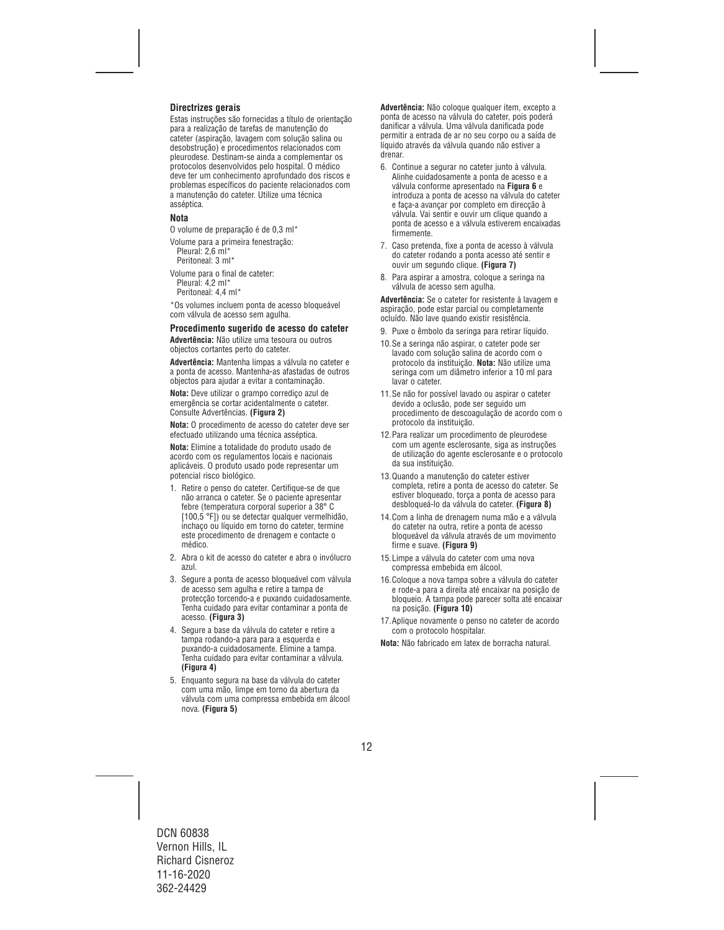## **Directrizes gerais**

Estas instruções são fornecidas a título de orientação para a realização de tarefas de manutenção do cateter (aspiração, lavagem com solução salina ou desobstrução) e procedimentos relacionados com pleurodese. Destinam-se ainda a complementar os protocolos desenvolvidos pelo hospital. O médico deve ter um conhecimento aprofundado dos riscos e problemas específicos do paciente relacionados com a manutenção do cateter. Utilize uma técnica asséptica.

#### **Nota**

O volume de preparação é de 0,3 ml\*

Volume para a primeira fenestração:

Pleural: 2,6 ml\* Peritoneal: 3 ml\*

Volume para o final de cateter:

Pleural: 4,2 ml\* Peritoneal: 4,4 ml\*

\*Os volumes incluem ponta de acesso bloqueável com válvula de acesso sem agulha.

#### **Procedimento sugerido de acesso do cateter**

**Advertência:** Não utilize uma tesoura ou outros objectos cortantes perto do cateter.

**Advertência:** Mantenha limpas a válvula no cateter e a ponta de acesso. Mantenha-as afastadas de outros objectos para ajudar a evitar a contaminação.

**Nota:** Deve utilizar o grampo corrediço azul de emergência se cortar acidentalmente o cateter. Consulte Advertências. **(Figura 2)**

**Nota:** O procedimento de acesso do cateter deve ser efectuado utilizando uma técnica asséptica.

**Nota:** Elimine a totalidade do produto usado de acordo com os regulamentos locais e nacionais aplicáveis. O produto usado pode representar um potencial risco biológico.

- 1. Retire o penso do cateter. Certifique-se de que não arranca o cateter. Se o paciente apresentar febre (temperatura corporal superior a 38° C [100,5 °F]) ou se detectar qualquer vermelhidão, inchaço ou líquido em torno do cateter, termine este procedimento de drenagem e contacte o médico.
- 2. Abra o kit de acesso do cateter e abra o invólucro azul.
- 3. Segure a ponta de acesso bloqueável com válvula de acesso sem agulha e retire a tampa de protecção torcendo-a e puxando cuidadosamente. Tenha cuidado para evitar contaminar a ponta de acesso. **(Figura 3)**
- 4. Segure a base da válvula do cateter e retire a tampa rodando-a para para a esquerda e puxando-a cuidadosamente. Elimine a tampa. Tenha cuidado para evitar contaminar a válvula. **(Figura 4)**
- 5. Enquanto segura na base da válvula do cateter com uma mão, limpe em torno da abertura da válvula com uma compressa embebida em álcool nova. **(Figura 5)**

**Advertência:** Não coloque qualquer item, excepto a ponta de acesso na válvula do cateter, pois poderá danificar a válvula. Uma válvula danificada pode permitir a entrada de ar no seu corpo ou a saída de líquido através da válvula quando não estiver a drenar.

- 6. Continue a segurar no cateter junto à válvula. Alinhe cuidadosamente a ponta de acesso e a válvula conforme apresentado na **Figura 6** e introduza a ponta de acesso na válvula do cateter e faça-a avançar por completo em direcção à válvula. Vai sentir e ouvir um clique quando a ponta de acesso e a válvula estiverem encaixadas firmemente.
- 7. Caso pretenda, fixe a ponta de acesso à válvula do cateter rodando a ponta acesso até sentir e ouvir um segundo clique. **(Figura 7)**
- 8. Para aspirar a amostra, coloque a seringa na válvula de acesso sem agulha.

**Advertência:** Se o cateter for resistente à lavagem e aspiração, pode estar parcial ou completamente ocluído. Não lave quando existir resistência.

- 9. Puxe o êmbolo da seringa para retirar líquido.
- 10.Se a seringa não aspirar, o cateter pode ser lavado com solução salina de acordo com o protocolo da instituição. **Nota:** Não utilize uma seringa com um diâmetro inferior a 10 ml para lavar o cateter.
- 11.Se não for possível lavado ou aspirar o cateter devido a oclusão, pode ser seguido um procedimento de descoagulação de acordo com o protocolo da instituição.
- 12.Para realizar um procedimento de pleurodese com um agente esclerosante, siga as instruções de utilização do agente esclerosante e o protocolo da sua instituição.
- 13.Quando a manutenção do cateter estiver completa, retire a ponta de acesso do cateter. Se estiver bloqueado, torça a ponta de acesso para desbloqueá-lo da válvula do cateter. **(Figura 8)**
- 14.Com a linha de drenagem numa mão e a válvula do cateter na outra, retire a ponta de acesso bloqueável da válvula através de um movimento firme e suave. **(Figura 9)**
- 15.Limpe a válvula do cateter com uma nova compressa embebida em álcool.
- 16.Coloque a nova tampa sobre a válvula do cateter e rode-a para a direita até encaixar na posição de bloqueio. A tampa pode parecer solta até encaixar na posição. **(Figura 10)**
- 17.Aplique novamente o penso no cateter de acordo com o protocolo hospitalar.

**Nota:** Não fabricado em latex de borracha natural.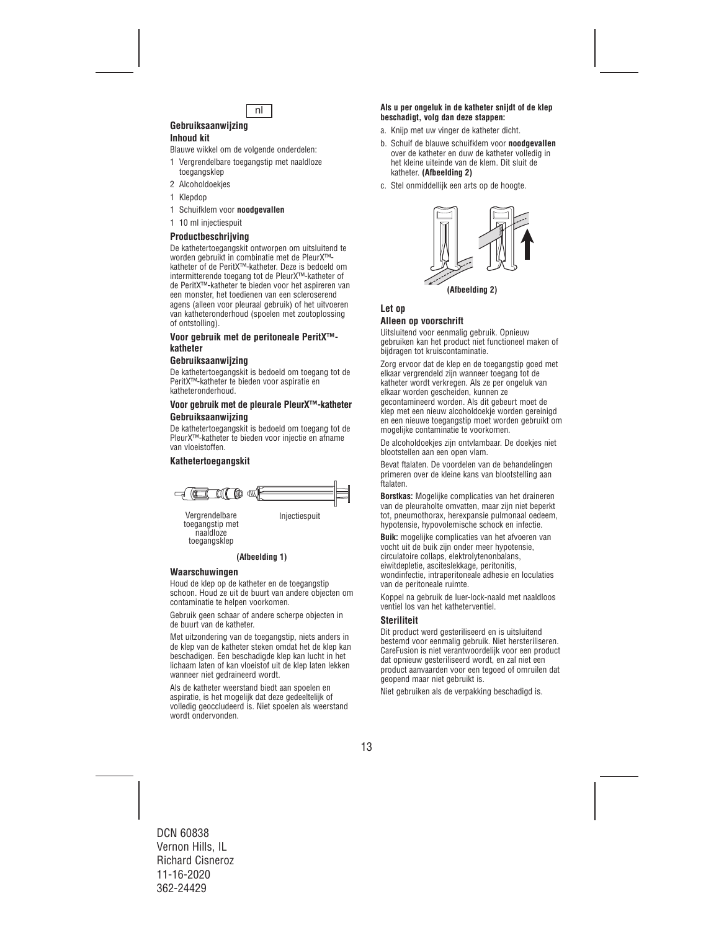

#### **Gebruiksaanwijzing Inhoud kit**

Blauwe wikkel om de volgende onderdelen:

- 1 Vergrendelbare toegangstip met naaldloze toegangsklep
- 2 Alcoholdoekjes
- 1 Klepdop
- 1 Schuifklem voor **noodgevallen**
- 1 10 ml injectiespuit

## **Productbeschrijving**

De kathetertoegangskit ontworpen om uitsluitend te worden gebruikt in combinatie met de PleurX™ katheter of de PeritX™-katheter. Deze is bedoeld om intermitterende toegang tot de PleurX™-katheter of de PeritX™-katheter te bieden voor het aspireren van een monster, het toedienen van een scleroserend agens (alleen voor pleuraal gebruik) of het uitvoeren van katheteronderhoud (spoelen met zoutoplossing of ontstolling).

#### **Voor gebruik met de peritoneale PeritX™ katheter**

#### **Gebruiksaanwijzing**

De kathetertoegangskit is bedoeld om toegang tot de PeritX™-katheter te bieden voor aspiratie en katheteronderhoud.

#### **Voor gebruik met de pleurale PleurX™-katheter Gebruiksaanwijzing**

De kathetertoegangskit is bedoeld om toegang tot de PleurX™-katheter te bieden voor injectie en afname van vloeistoffen.

#### **Kathetertoegangskit**



toegangstip met naaldloze toegangsklep

#### **(Afbeelding 1)**

#### **Waarschuwingen**

Houd de klep op de katheter en de toegangstip schoon. Houd ze uit de buurt van andere objecten om contaminatie te helpen voorkomen.

Gebruik geen schaar of andere scherpe objecten in de buurt van de katheter.

Met uitzondering van de toegangstip, niets anders in de klep van de katheter steken omdat het de klep kan beschadigen. Een beschadigde klep kan lucht in het lichaam laten of kan vloeistof uit de klep laten lekken wanneer niet gedraineerd wordt.

Als de katheter weerstand biedt aan spoelen en aspiratie, is het mogelijk dat deze gedeeltelijk of volledig geoccludeerd is. Niet spoelen als weerstand wordt ondervonden.

#### **Als u per ongeluk in de katheter snijdt of de klep beschadigt, volg dan deze stappen:**

- a. Knijp met uw vinger de katheter dicht.
- b. Schuif de blauwe schuifklem voor **noodgevallen** over de katheter en duw de katheter volledig in het kleine uiteinde van de klem. Dit sluit de katheter. **(Afbeelding 2)**
- c. Stel onmiddellijk een arts op de hoogte.



## **Let op**

#### **Alleen op voorschrift**

Uitsluitend voor eenmalig gebruik. Opnieuw gebruiken kan het product niet functioneel maken of bijdragen tot kruiscontaminatie.

Zorg ervoor dat de klep en de toegangstip goed met elkaar vergrendeld zijn wanneer toegang tot de katheter wordt verkregen. Als ze per ongeluk van elkaar worden gescheiden, kunnen ze gecontamineerd worden. Als dit gebeurt moet de klep met een nieuw alcoholdoekje worden gereinigd en een nieuwe toegangstip moet worden gebruikt om mogelijke contaminatie te voorkomen.

De alcoholdoekjes zijn ontvlambaar. De doekjes niet blootstellen aan een open vlam.

Bevat ftalaten. De voordelen van de behandelingen primeren over de kleine kans van blootstelling aan ftalaten.

**Borstkas:** Mogelijke complicaties van het draineren van de pleuraholte omvatten, maar zijn niet beperkt tot, pneumothorax, herexpansie pulmonaal oedeem, hypotensie, hypovolemische schock en infectie.

**Buik:** mogelijke complicaties van het afvoeren van vocht uit de buik zijn onder meer hypotensie, circulatoire collaps, elektrolytenonbalans, eiwitdepletie, asciteslekkage, peritonitis, wondinfectie, intraperitoneale adhesie en loculaties van de peritoneale ruimte.

Koppel na gebruik de luer-lock-naald met naaldloos ventiel los van het katheterventiel.

#### **Steriliteit**

Dit product werd gesteriliseerd en is uitsluitend bestemd voor eenmalig gebruik. Niet hersteriliseren. CareFusion is niet verantwoordelijk voor een product dat opnieuw gesteriliseerd wordt, en zal niet een product aanvaarden voor een tegoed of omruilen dat geopend maar niet gebruikt is.

Niet gebruiken als de verpakking beschadigd is.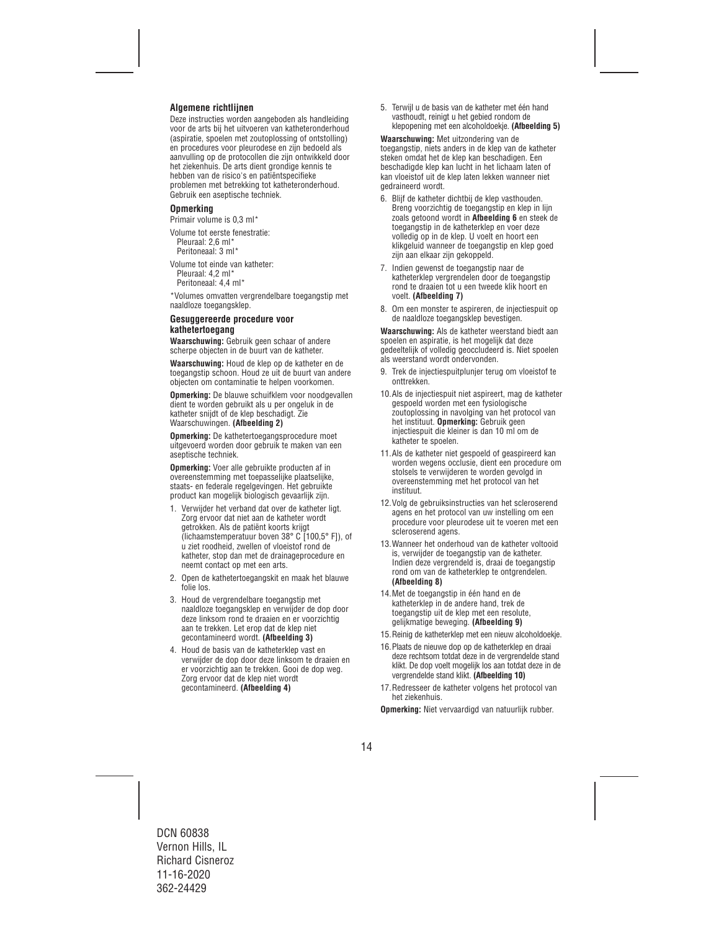## **Algemene richtlijnen**

Deze instructies worden aangeboden als handleiding voor de arts bij het uitvoeren van katheteronderhoud (aspiratie, spoelen met zoutoplossing of ontstolling) en procedures voor pleurodese en zijn bedoeld als aanvulling op de protocollen die zijn ontwikkeld door het ziekenhuis. De arts dient grondige kennis te hebben van de risico's en patiëntspecifieke problemen met betrekking tot katheteronderhoud. Gebruik een aseptische techniek.

#### **Opmerking**

Primair volume is 0,3 ml\*

Volume tot eerste fenestratie: Pleuraal: 2,6 ml\* Peritoneaal: 3 ml\*

Volume tot einde van katheter: Pleuraal: 4,2 ml\* Peritoneaal: 4,4 ml\*

\*Volumes omvatten vergrendelbare toegangstip met naaldloze toegangsklep.

#### **Gesuggereerde procedure voor kathetertoegang**

**Waarschuwing:** Gebruik geen schaar of andere scherpe objecten in de buurt van de katheter.

**Waarschuwing:** Houd de klep op de katheter en de toegangstip schoon. Houd ze uit de buurt van andere objecten om contaminatie te helpen voorkomen.

**Opmerking:** De blauwe schuifklem voor noodgevallen dient te worden gebruikt als u per ongeluk in de katheter snijdt of de klep beschadigt. Zie Waarschuwingen. **(Afbeelding 2)**

**Opmerking:** De kathetertoegangsprocedure moet uitgevoerd worden door gebruik te maken van een aseptische techniek.

**Opmerking:** Voer alle gebruikte producten af in overeenstemming met toepasselijke plaatselijke, staats- en federale regelgevingen. Het gebruikte product kan mogelijk biologisch gevaarlijk zijn.

- 1. Verwijder het verband dat over de katheter ligt. Zorg ervoor dat niet aan de katheter wordt getrokken. Als de patiënt koorts krijgt (lichaamstemperatuur boven 38° C [100,5° F]), of u ziet roodheid, zwellen of vloeistof rond de katheter, stop dan met de drainageprocedure en neemt contact op met een arts.
- 2. Open de kathetertoegangskit en maak het blauwe folie los.
- 3. Houd de vergrendelbare toegangstip met naaldloze toegangsklep en verwijder de dop door deze linksom rond te draaien en er voorzichtig aan te trekken. Let erop dat de klep niet gecontamineerd wordt. **(Afbeelding 3)**
- 4. Houd de basis van de katheterklep vast en verwijder de dop door deze linksom te draaien en er voorzichtig aan te trekken. Gooi de dop weg. Zorg ervoor dat de klep niet wordt gecontamineerd. **(Afbeelding 4)**

5. Terwijl u de basis van de katheter met één hand vasthoudt, reinigt u het gebied rondom de klepopening met een alcoholdoekje. **(Afbeelding 5)**

**Waarschuwing:** Met uitzondering van de toegangstip, niets anders in de klep van de katheter steken omdat het de klep kan beschadigen. Een beschadigde klep kan lucht in het lichaam laten of kan vloeistof uit de klep laten lekken wanneer niet gedraineerd wordt.

- 6. Blijf de katheter dichtbij de klep vasthouden. Breng voorzichtig de toegangstip en klep in lijn zoals getoond wordt in **Afbeelding 6** en steek de toegangstip in de katheterklep en voer deze volledig op in de klep. U voelt en hoort een klikgeluid wanneer de toegangstip en klep goed zijn aan elkaar zijn gekoppeld.
- 7. Indien gewenst de toegangstip naar de katheterklep vergrendelen door de toegangstip rond te draaien tot u een tweede klik hoort en voelt. **(Afbeelding 7)**
- 8. Om een monster te aspireren, de injectiespuit op de naaldloze toegangsklep bevestigen.

**Waarschuwing:** Als de katheter weerstand biedt aan spoelen en aspiratie, is het mogelijk dat deze gedeeltelijk of volledig geoccludeerd is. Niet spoelen als weerstand wordt ondervonden.

- 9. Trek de injectiespuitplunjer terug om vloeistof te onttrekken.
- 10.Als de injectiespuit niet aspireert, mag de katheter gespoeld worden met een fysiologische zoutoplossing in navolging van het protocol van het instituut. **Opmerking:** Gebruik geen injectiespuit die kleiner is dan 10 ml om de katheter te spoelen.
- 11.Als de katheter niet gespoeld of geaspireerd kan worden wegens occlusie, dient een procedure om stolsels te verwijderen te worden gevolgd in overeenstemming met het protocol van het instituut.
- 12.Volg de gebruiksinstructies van het scleroserend agens en het protocol van uw instelling om een procedure voor pleurodese uit te voeren met een scleroserend agens.
- 13.Wanneer het onderhoud van de katheter voltooid is, verwijder de toegangstip van de katheter. Indien deze vergrendeld is, draai de toegangstip rond om van de katheterklep te ontgrendelen. **(Afbeelding 8)**
- 14.Met de toegangstip in één hand en de katheterklep in de andere hand, trek de toegangstip uit de klep met een resolute, gelijkmatige beweging. **(Afbeelding 9)**
- 15.Reinig de katheterklep met een nieuw alcoholdoekje.
- 16.Plaats de nieuwe dop op de katheterklep en draai deze rechtsom totdat deze in de vergrendelde stand klikt. De dop voelt mogelijk los aan totdat deze in de vergrendelde stand klikt. **(Afbeelding 10)**
- 17.Redresseer de katheter volgens het protocol van het ziekenhuis.

**Opmerking:** Niet vervaardigd van natuurlijk rubber.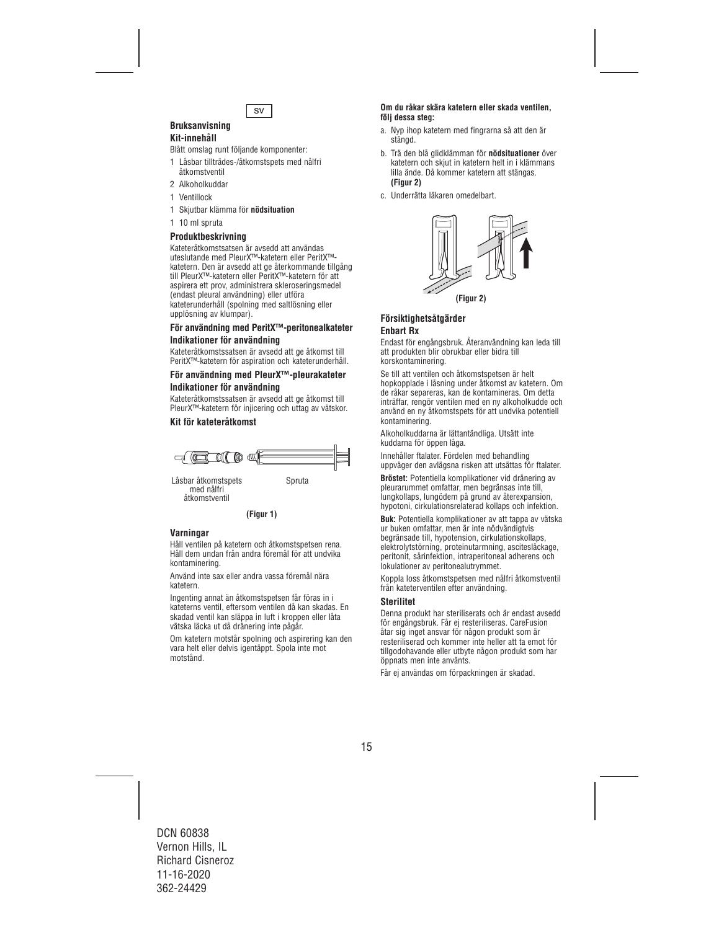

#### **Bruksanvisning Kit-innehåll**

Blått omslag runt följande komponenter:

- 1 Låsbar tillträdes-/åtkomstspets med nålfri åtkomstventil
- 2 Alkoholkuddar
- 1 Ventillock
- 1 Skjutbar klämma för **nödsituation**
- 1 10 ml spruta

## **Produktbeskrivning**

Kateteråtkomstsatsen är avsedd att användas uteslutande med PleurX™-katetern eller PeritX™ katetern. Den är avsedd att ge återkommande tillgång till PleurX™-katetern eller PeritX™-katetern för att aspirera ett prov, administrera skleroseringsmedel (endast pleural användning) eller utföra kateterunderhåll (spolning med saltlösning eller upplösning av klumpar).

#### **För användning med PeritX™-peritonealkateter Indikationer för användning**

Kateteråtkomstssatsen är avsedd att ge åtkomst till PeritX™-katetern för aspiration och kateterunderhåll.

## **För användning med PleurX™-pleurakateter Indikationer för användning**

Kateteråtkomstssatsen är avsedd att ge åtkomst till PleurX™-katetern för injicering och uttag av vätskor.

## **Kit för kateteråtkomst**



med nålfri åtkomstventil

**(Figur 1)**

#### **Varningar**

Håll ventilen på katetern och åtkomstspetsen rena. Håll dem undan från andra föremål för att undvika kontaminering.

Använd inte sax eller andra vassa föremål nära katetern.

Ingenting annat än åtkomstspetsen får föras in i kateterns ventil, eftersom ventilen då kan skadas. En skadad ventil kan släppa in luft i kroppen eller låta vätska läcka ut då dränering inte pågår.

Om katetern motstår spolning och aspirering kan den vara helt eller delvis igentäppt. Spola inte mot motstånd.

#### **Om du råkar skära katetern eller skada ventilen, följ dessa steg:**

- a. Nyp ihop katetern med fingrarna så att den är stängd.
- b. Trä den blå glidklämman för **nödsituationer** över katetern och skjut in katetern helt in i klämmans lilla ände. Då kommer katetern att stängas. **(Figur 2)**
- c. Underrätta läkaren omedelbart.



## **Försiktighetsåtgärder Enbart Rx**

Endast för engångsbruk. Återanvändning kan leda till att produkten blir obrukbar eller bidra till korskontaminering.

Se till att ventilen och åtkomstspetsen är helt hopkopplade i låsning under åtkomst av katetern. Om de råkar separeras, kan de kontamineras. Om detta inträffar, rengör ventilen med en ny alkoholkudde och använd en ny åtkomstspets för att undvika potentiell kontaminering.

Alkoholkuddarna är lättantändliga. Utsätt inte kuddarna för öppen låga.

Innehåller ftalater. Fördelen med behandling uppväger den avlägsna risken att utsättas för ftalater.

**Bröstet:** Potentiella komplikationer vid dränering av pleurarummet omfattar, men begränsas inte till, lungkollaps, lungödem på grund av återexpansion, hypotoni, cirkulationsrelaterad kollaps och infektion.

**Buk:** Potentiella komplikationer av att tappa av vätska ur buken omfattar, men är inte nödvändigtvis begränsade till, hypotension, cirkulationskollaps, elektrolytstörning, proteinutarmning, ascitesläckage, peritonit, sårinfektion, intraperitoneal adherens och lokulationer av peritonealutrymmet.

Koppla loss åtkomstspetsen med nålfri åtkomstventil från kateterventilen efter användning.

#### **Sterilitet**

Denna produkt har steriliserats och är endast avsedd för engångsbruk. Får ej resteriliseras. CareFusion åtar sig inget ansvar för någon produkt som är resteriliserad och kommer inte heller att ta emot för tillgodohavande eller utbyte någon produkt som har öppnats men inte använts.

Får ej användas om förpackningen är skadad.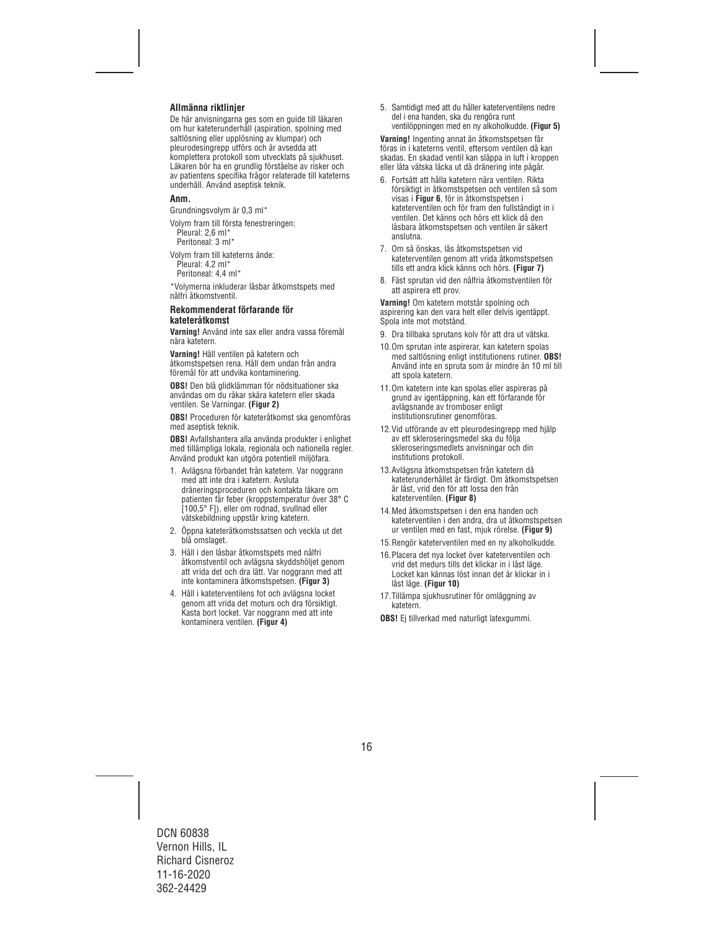## **Allmänna riktlinjer**

De här anvisningarna ges som en guide till läkaren om hur kateterunderhåll (aspiration, spolning med saltlösning eller upplösning av klumpar) och pleurodesingrepp utförs och är avsedda att komplettera protokoll som utvecklats på sjukhuset. Läkaren bör ha en grundlig förståelse av risker och av patientens specifika frågor relaterade till kateterns underhåll. Använd aseptisk teknik.

#### **Anm.**

Grundningsvolym är 0,3 ml\*

Volym fram till första fenestreringen: Pleural: 2,6 ml<sup>\*</sup> Peritoneal: 3 ml\*

Volym fram till kateterns ände: Pleural: 4,2 ml\*

Peritoneal: 4,4 ml\*

\*Volymerna inkluderar låsbar åtkomstspets med nålfri åtkomstventil.

#### **Rekommenderat förfarande för kateteråtkomst**

**Varning!** Använd inte sax eller andra vassa föremål nära katetern.

**Varning!** Håll ventilen på katetern och åtkomstspetsen rena. Håll dem undan från andra föremål för att undvika kontaminering.

**OBS!** Den blå glidklämman för nödsituationer ska användas om du råkar skära katetern eller skada ventilen. Se Varningar. **(Figur 2)**

**OBS!** Proceduren för kateteråtkomst ska genomföras med aseptisk teknik.

**OBS!** Avfallshantera alla använda produkter i enlighet med tillämpliga lokala, regionala och nationella regler. Använd produkt kan utgöra potentiell miljöfara.

- 1. Avlägsna förbandet från katetern. Var noggrann med att inte dra i katetern. Avsluta dräneringsproceduren och kontakta läkare om patienten får feber (kroppstemperatur över 38° C [100,5° F]), eller om rodnad, svullnad eller vätskebildning uppstår kring katetern.
- 2. Öppna kateteråtkomstssatsen och veckla ut det blå omslaget.
- 3. Håll i den låsbar åtkomstspets med nålfri åtkomstventil och avlägsna skyddshöljet genom att vrida det och dra lätt. Var noggrann med att inte kontaminera åtkomstspetsen. **(Figur 3)**
- 4. Håll i kateterventilens fot och avlägsna locket genom att vrida det moturs och dra försiktigt. Kasta bort locket. Var noggrann med att inte kontaminera ventilen. **(Figur 4)**

5. Samtidigt med att du håller kateterventilens nedre del i ena handen, ska du rengöra runt ventilöppningen med en ny alkoholkudde. **(Figur 5)**

**Varning!** Ingenting annat än åtkomstspetsen får föras in i kateterns ventil, eftersom ventilen då kan skadas. En skadad ventil kan släppa in luft i kroppen eller låta vätska läcka ut då dränering inte pågår.

- 6. Fortsätt att hålla katetern nära ventilen. Rikta försiktigt in åtkomstspetsen och ventilen så som visas i **Figur 6**, för in åtkomstspetsen i kateterventilen och för fram den fullständigt in i ventilen. Det känns och hörs ett klick då den låsbara åtkomstspetsen och ventilen är säkert anslutna.
- 7. Om så önskas, lås åtkomstspetsen vid kateterventilen genom att vrida åtkomstspetsen tills ett andra klick känns och hörs. **(Figur 7)**
- 8. Fäst sprutan vid den nålfria åtkomstventilen för att aspirera ett prov.

**Varning!** Om katetern motstår spolning och aspirering kan den vara helt eller delvis igentäppt. Spola inte mot motstånd.

- 9. Dra tillbaka sprutans kolv för att dra ut vätska.
- 10.Om sprutan inte aspirerar, kan katetern spolas med saltlösning enligt institutionens rutiner. **OBS!** Använd inte en spruta som är mindre än 10 ml till att spola katetern.
- 11.Om katetern inte kan spolas eller aspireras på grund av igentäppning, kan ett förfarande för avlägsnande av tromboser enligt institutionsrutiner genomföras.
- 12.Vid utförande av ett pleurodesingrepp med hjälp av ett skleroseringsmedel ska du följa skleroseringsmedlets anvisningar och din institutions protokoll.
- 13.Avlägsna åtkomstspetsen från katetern då kateterunderhållet är färdigt. Om åtkomstspetsen är låst, vrid den för att lossa den från kateterventilen. **(Figur 8)**
- 14.Med åtkomstspetsen i den ena handen och kateterventilen i den andra, dra ut åtkomstspetsen ur ventilen med en fast, mjuk rörelse. **(Figur 9)**
- 15.Rengör kateterventilen med en ny alkoholkudde.
- 16.Placera det nya locket över kateterventilen och vrid det medurs tills det klickar in i låst läge. Locket kan kännas löst innan det är klickar in i låst läge. **(Figur 10)**
- 17.Tillämpa sjukhusrutiner för omläggning av katetern.

**OBS!** Ej tillverkad med naturligt latexgummi.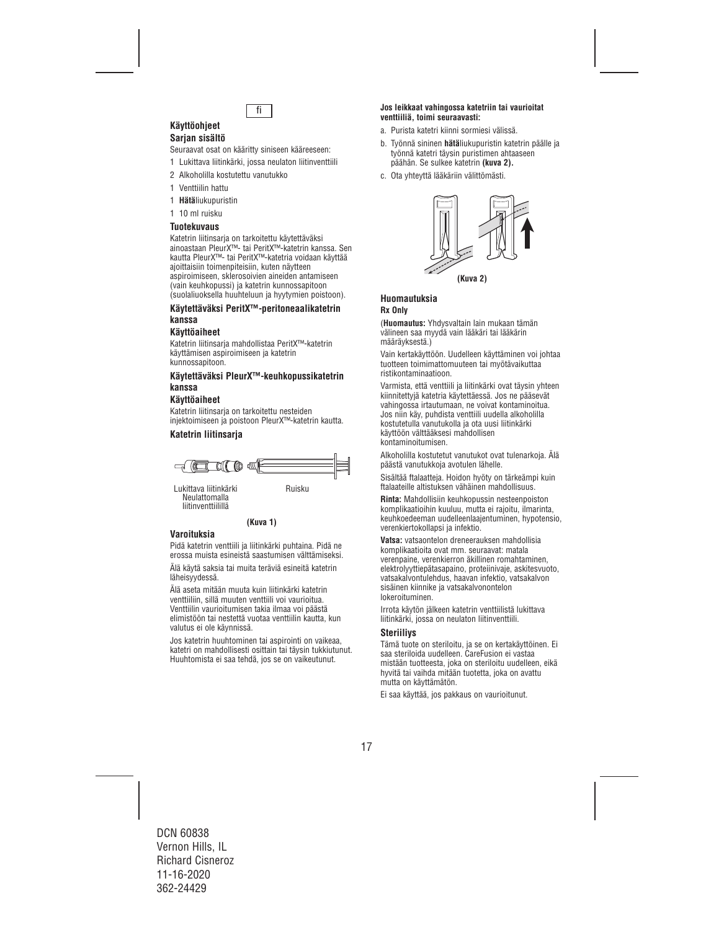

#### **Käyttöohjeet Sarjan sisältö**

Seuraavat osat on kääritty siniseen kääreeseen:

- 1 Lukittava liitinkärki, jossa neulaton liitinventtiili
- 2 Alkoholilla kostutettu vanutukko
- 1 Venttiilin hattu
- 1 **Hätä**liukupuristin
- 1 10 ml ruisku

#### **Tuotekuvaus**

Katetrin liitinsarja on tarkoitettu käytettäväksi ainoastaan PleurX™- tai PeritX™-katetrin kanssa. Sen kautta PleurX™- tai PeritX™-katetria voidaan käyttää ajoittaisiin toimenpiteisiin, kuten näytteen aspiroimiseen, sklerosoivien aineiden antamiseen (vain keuhkopussi) ja katetrin kunnossapitoon (suolaliuoksella huuhteluun ja hyytymien poistoon).

#### **Käytettäväksi PeritX™-peritoneaalikatetrin kanssa**

#### **Käyttöaiheet**

Katetrin liitinsarja mahdollistaa PeritX™-katetrin käyttämisen aspiroimiseen ja katetrin kunnossapitoon.

#### **Käytettäväksi PleurX™-keuhkopussikatetrin kanssa**

#### **Käyttöaiheet**

Katetrin liitinsarja on tarkoitettu nesteiden injektoimiseen ja poistoon PleurX™-katetrin kautta.

## **Katetrin liitinsarja**



Neulattomalla liitinventtiilillä

#### **(Kuva 1)**

#### **Varoituksia**

Pidä katetrin venttiili ja liitinkärki puhtaina. Pidä ne erossa muista esineistä saastumisen välttämiseksi.

Älä käytä saksia tai muita teräviä esineitä katetrin läheisyydessä.

Älä aseta mitään muuta kuin liitinkärki katetrin venttiiliin, sillä muuten venttiili voi vaurioitua. Venttiilin vaurioitumisen takia ilmaa voi päästä elimistöön tai nestettä vuotaa venttiilin kautta, kun valutus ei ole käynnissä.

Jos katetrin huuhtominen tai aspirointi on vaikeaa, katetri on mahdollisesti osittain tai täysin tukkiutunut. Huuhtomista ei saa tehdä, jos se on vaikeutunut.

#### **Jos leikkaat vahingossa katetriin tai vaurioitat venttiiliä, toimi seuraavasti:**

- a. Purista katetri kiinni sormiesi välissä.
- b. Työnnä sininen **hätä**liukupuristin katetrin päälle ja työnnä katetri täysin puristimen ahtaaseen päähän. Se sulkee katetrin **(kuva 2).**
- c. Ota yhteyttä lääkäriin välittömästi.



## **Huomautuksia Rx Only**

(**Huomautus:** Yhdysvaltain lain mukaan tämän välineen saa myydä vain lääkäri tai lääkärin määräyksestä.)

Vain kertakäyttöön. Uudelleen käyttäminen voi johtaa tuotteen toimimattomuuteen tai myötävaikuttaa ristikontaminaatioon.

Varmista, että venttiili ja liitinkärki ovat täysin yhteen kiinnitettyjä katetria käytettäessä. Jos ne pääsevät vahingossa irtautumaan, ne voivat kontaminoitua. Jos niin käy, puhdista venttiili uudella alkoholilla kostutetulla vanutukolla ja ota uusi liitinkärki käyttöön välttääksesi mahdollisen kontaminoitumisen.

Alkoholilla kostutetut vanutukot ovat tulenarkoja. Älä päästä vanutukkoja avotulen lähelle.

Sisältää ftalaatteja. Hoidon hyöty on tärkeämpi kuin ftalaateille altistuksen vähäinen mahdollisuus.

**Rinta:** Mahdollisiin keuhkopussin nesteenpoiston komplikaatioihin kuuluu, mutta ei rajoitu, ilmarinta, keuhkoedeeman uudelleenlaajentuminen, hypotensio, verenkiertokollapsi ja infektio.

**Vatsa:** vatsaontelon dreneerauksen mahdollisia komplikaatioita ovat mm. seuraavat: matala verenpaine, verenkierron äkillinen romahtaminen, elektrolyyttiepätasapaino, proteiinivaje, askitesvuoto, vatsakalvontulehdus, haavan infektio, vatsakalvon sisäinen kiinnike ja vatsakalvonontelon lokeroituminen.

Irrota käytön jälkeen katetrin venttiilistä lukittava liitinkärki, jossa on neulaton liitinventtiili.

#### **Steriiliys**

Tämä tuote on steriloitu, ja se on kertakäyttöinen. Ei saa steriloida uudelleen. CareFusion ei vastaa mistään tuotteesta, joka on steriloitu uudelleen, eikä hyvitä tai vaihda mitään tuotetta, joka on avattu mutta on käyttämätön.

Ei saa käyttää, jos pakkaus on vaurioitunut.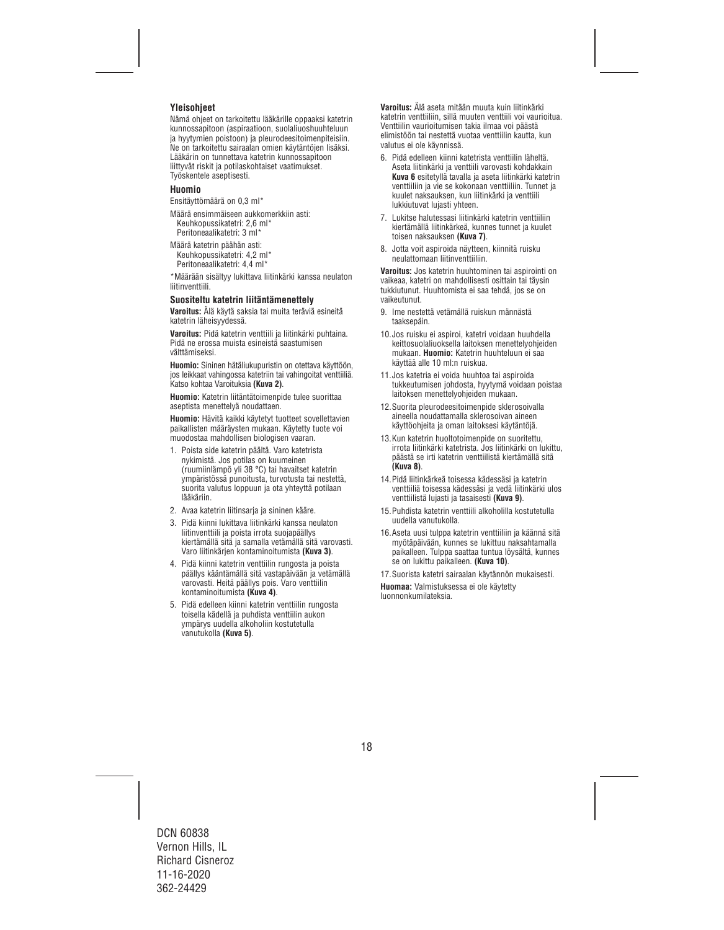## **Yleisohjeet**

Nämä ohjeet on tarkoitettu lääkärille oppaaksi katetrin kunnossapitoon (aspiraatioon, suolaliuoshuuhteluun ja hyytymien poistoon) ja pleurodeesitoimenpiteisiin. Ne on tarkoitettu sairaalan omien käytäntöjen lisäksi. Lääkärin on tunnettava katetrin kunnossapitoon liittyvät riskit ja potilaskohtaiset vaatimukset. Työskentele aseptisesti.

#### **Huomio**

Ensitäyttömäärä on 0,3 ml\*

Määrä ensimmäiseen aukkomerkkiin asti: Keuhkopussikatetri: 2,6 ml\* Peritoneaalikatetri: 3 ml\*

Määrä katetrin päähän asti: Keuhkopussikatetri: 4,2 ml\* Peritoneaalikatetri: 4,4 ml\*

\*Määrään sisältyy lukittava liitinkärki kanssa neulaton liitinventtiili.

#### **Suositeltu katetrin liitäntämenettely**

**Varoitus:** Älä käytä saksia tai muita teräviä esineitä katetrin läheisyydessä.

**Varoitus:** Pidä katetrin venttiili ja liitinkärki puhtaina. Pidä ne erossa muista esineistä saastumisen välttämiseksi.

**Huomio:** Sininen hätäliukupuristin on otettava käyttöön, jos leikkaat vahingossa katetriin tai vahingoitat venttiiliä. Katso kohtaa Varoituksia **(Kuva 2)**.

**Huomio:** Katetrin liitäntätoimenpide tulee suorittaa aseptista menettelyä noudattaen.

**Huomio:** Hävitä kaikki käytetyt tuotteet sovellettavien paikallisten määräysten mukaan. Käytetty tuote voi muodostaa mahdollisen biologisen vaaran.

- 1. Poista side katetrin päältä. Varo katetrista nykimistä. Jos potilas on kuumeinen (ruumiinlämpö yli 38 °C) tai havaitset katetrin ympäristössä punoitusta, turvotusta tai nestettä, suorita valutus loppuun ja ota yhteyttä potilaan lääkäriin.
- 2. Avaa katetrin liitinsarja ja sininen kääre.
- 3. Pidä kiinni lukittava liitinkärki kanssa neulaton liitinventtiili ja poista irrota suojapäällys kiertämällä sitä ja samalla vetämällä sitä varovasti. Varo liitinkärjen kontaminoitumista **(Kuva 3)**.
- 4. Pidä kiinni katetrin venttiilin rungosta ja poista päällys kääntämällä sitä vastapäivään ja vetämällä varovasti. Heitä päällys pois. Varo venttiilin kontaminoitumista **(Kuva 4)**.
- 5. Pidä edelleen kiinni katetrin venttiilin rungosta toisella kädellä ja puhdista venttiilin aukon ympärys uudella alkoholiin kostutetulla vanutukolla **(Kuva 5)**.

**Varoitus:** Älä aseta mitään muuta kuin liitinkärki katetrin venttiiliin, sillä muuten venttiili voi vaurioitua. Venttiilin vaurioitumisen takia ilmaa voi päästä elimistöön tai nestettä vuotaa venttiilin kautta, kun valutus ei ole käynnissä.

- 6. Pidä edelleen kiinni katetrista venttiilin läheltä. Aseta liitinkärki ja venttiili varovasti kohdakkain **Kuva 6** esitetyllä tavalla ja aseta liitinkärki katetrin venttiiliin ja vie se kokonaan venttiiliin. Tunnet ja kuulet naksauksen, kun liitinkärki ja venttiili lukkiutuvat lujasti yhteen.
- 7. Lukitse halutessasi liitinkärki katetrin venttiiliin kiertämällä liitinkärkeä, kunnes tunnet ja kuulet toisen naksauksen **(Kuva 7)**.
- 8. Jotta voit aspiroida näytteen, kiinnitä ruisku neulattomaan liitinventtiiliin.

**Varoitus:** Jos katetrin huuhtominen tai aspirointi on vaikeaa, katetri on mahdollisesti osittain tai täysin tukkiutunut. Huuhtomista ei saa tehdä, jos se on vaikeutunut.

- 9. Ime nestettä vetämällä ruiskun männästä taaksepäin.
- 10.Jos ruisku ei aspiroi, katetri voidaan huuhdella keittosuolaliuoksella laitoksen menettelyohjeiden mukaan. **Huomio:** Katetrin huuhteluun ei saa käyttää alle 10 ml:n ruiskua.
- 11.Jos katetria ei voida huuhtoa tai aspiroida tukkeutumisen johdosta, hyytymä voidaan poistaa laitoksen menettelyohjeiden mukaan.
- 12.Suorita pleurodeesitoimenpide sklerosoivalla aineella noudattamalla sklerosoivan aineen käyttöohjeita ja oman laitoksesi käytäntöjä.
- 13.Kun katetrin huoltotoimenpide on suoritettu, irrota liitinkärki katetrista. Jos liitinkärki on lukittu, päästä se irti katetrin venttiilistä kiertämällä sitä **(Kuva 8)**.
- 14.Pidä liitinkärkeä toisessa kädessäsi ja katetrin venttiiliä toisessa kädessäsi ja vedä liitinkärki ulos venttiilistä lujasti ja tasaisesti **(Kuva 9)**.
- 15.Puhdista katetrin venttiili alkoholilla kostutetulla uudella vanutukolla.
- 16.Aseta uusi tulppa katetrin venttiiliin ja käännä sitä myötäpäivään, kunnes se lukittuu naksahtamalla paikalleen. Tulppa saattaa tuntua löysältä, kunnes se on lukittu paikalleen. **(Kuva 10)**.
- 17.Suorista katetri sairaalan käytännön mukaisesti.

**Huomaa:** Valmistuksessa ei ole käytetty luonnonkumilateksia.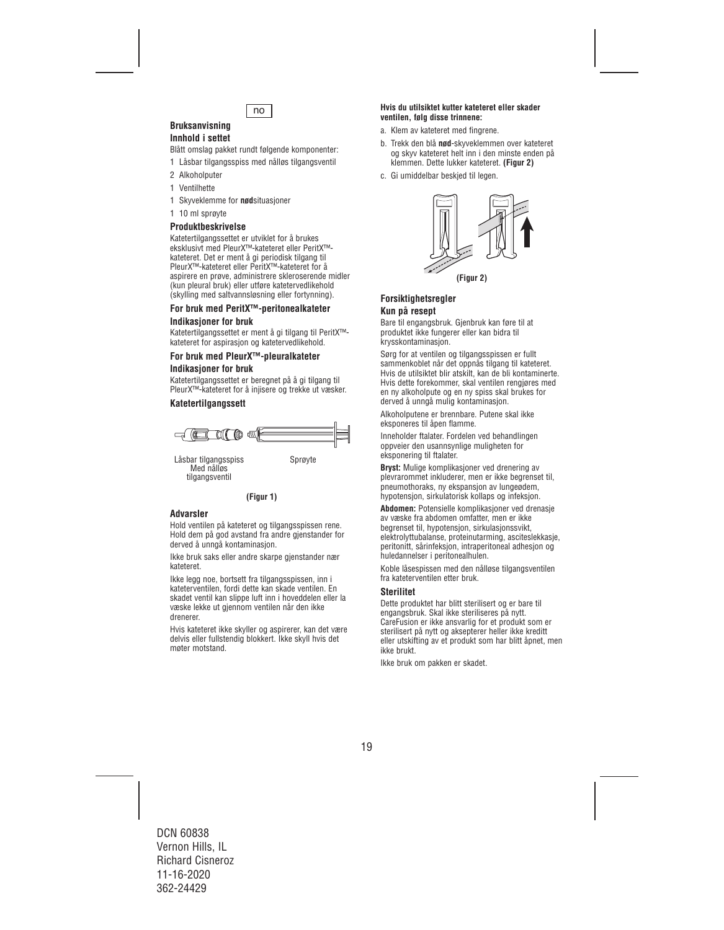

#### **Bruksanvisning Innhold i settet**

Blått omslag pakket rundt følgende komponenter:

- 1 Låsbar tilgangsspiss med nålløs tilgangsventil
- 2 Alkoholputer
- 1 Ventilhette
- 1 Skyveklemme for **nød**situasjoner
- 1 10 ml sprøyte

## **Produktbeskrivelse**

Katetertilgangssettet er utviklet for å brukes eksklusivt med PleurX™-kateteret eller PeritX™ kateteret. Det er ment å gi periodisk tilgang til PleurX™-kateteret eller PeritX™-kateteret for å aspirere en prøve, administrere skleroserende midler (kun pleural bruk) eller utføre katetervedlikehold (skylling med saltvannsløsning eller fortynning).

#### **For bruk med PeritX™-peritonealkateter Indikasjoner for bruk**

Katetertilgangssettet er ment å gi tilgang til PeritX™ kateteret for aspirasjon og katetervedlikehold.

## **For bruk med PleurX™-pleuralkateter**

#### **Indikasjoner for bruk**

Katetertilgangssettet er beregnet på å gi tilgang til PleurX™-kateteret for å injisere og trekke ut væsker.

## **Katetertilgangssett**



Låsbar tilgangsspiss Sprøyte<br>Med nålløs tilgangsventil



## **Advarsler**

Hold ventilen på kateteret og tilgangsspissen rene. Hold dem på god avstand fra andre gjenstander for derved å unngå kontaminasjon.

Ikke bruk saks eller andre skarpe gjenstander nær kateteret.

Ikke legg noe, bortsett fra tilgangsspissen, inn i kateterventilen, fordi dette kan skade ventilen. En skadet ventil kan slippe luft inn i hoveddelen eller la væske lekke ut gjennom ventilen når den ikke drenerer.

Hvis kateteret ikke skyller og aspirerer, kan det være delvis eller fullstendig blokkert. Ikke skyll hvis det møter motstand.

#### **Hvis du utilsiktet kutter kateteret eller skader ventilen, følg disse trinnene:**

- a. Klem av kateteret med fingrene.
- b. Trekk den blå **nød**-skyveklemmen over kateteret og skyv kateteret helt inn i den minste enden på klemmen. Dette lukker kateteret. **(Figur 2)**
- c. Gi umiddelbar beskjed til legen.



## **Forsiktighetsregler Kun på resept**

Bare til engangsbruk. Gjenbruk kan føre til at produktet ikke fungerer eller kan bidra til krysskontaminasjon.

Sørg for at ventilen og tilgangsspissen er fullt sammenkoblet når det oppnås tilgang til kateteret. Hvis de utilsiktet blir atskilt, kan de bli kontaminerte. Hvis dette forekommer, skal ventilen rengjøres med en ny alkoholpute og en ny spiss skal brukes for derved å unngå mulig kontaminasjon.

Alkoholputene er brennbare. Putene skal ikke eksponeres til åpen flamme.

Inneholder ftalater. Fordelen ved behandlingen oppveier den usannsynlige muligheten for eksponering til ftalater.

**Bryst:** Mulige komplikasjoner ved drenering av plevrarommet inkluderer, men er ikke begrenset til, pneumothoraks, ny ekspansjon av lungeødem, hypotensjon, sirkulatorisk kollaps og infeksjon.

**Abdomen:** Potensielle komplikasjoner ved drenasje av væske fra abdomen omfatter, men er ikke begrenset til, hypotensjon, sirkulasjonssvikt, elektrolyttubalanse, proteinutarming, asciteslekkasje, peritonitt, sårinfeksjon, intraperitoneal adhesjon og huledannelser i peritonealhulen.

Koble låsespissen med den nålløse tilgangsventilen fra kateterventilen etter bruk.

## **Sterilitet**

Dette produktet har blitt sterilisert og er bare til engangsbruk. Skal ikke steriliseres på nytt. CareFusion er ikke ansvarlig for et produkt som er sterilisert på nytt og aksepterer heller ikke kreditt eller utskifting av et produkt som har blitt åpnet, men ikke brukt.

Ikke bruk om pakken er skadet.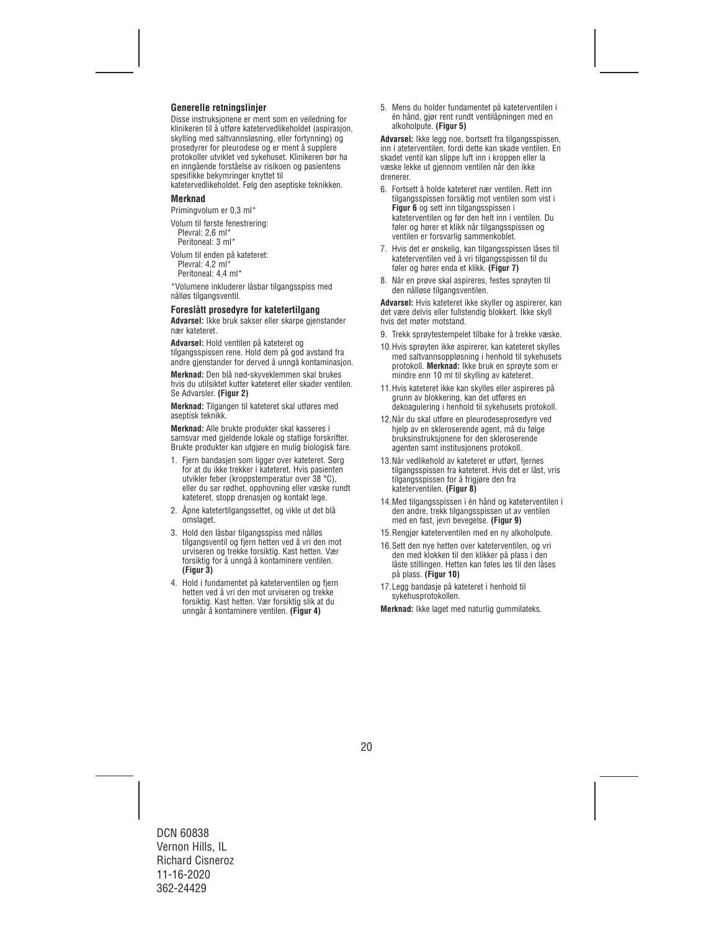## **Generelle retningslinjer**

Disse instruksjonene er ment som en veiledning for klinikeren til å utføre katetervedlikeholdet (aspirasjon, skylling med saltvannsløsning, eller fortynning) og prosedyrer for pleurodese og er ment å supplere protokoller utviklet ved sykehuset. Klinikeren bør ha en inngående forståelse av risikoen og pasientens spesifikke bekymringer knyttet til

katetervedlikeholdet. Følg den aseptiske teknikken.

#### **Merknad**

Primingvolum er 0,3 ml\*

Volum til første fenestrering: Plevral: 2,6 ml\* Peritoneal: 3 ml\*

Volum til enden på kateteret: Plevral: 4,2 ml\*

Peritoneal: 4,4 ml\*

\*Volumene inkluderer låsbar tilgangsspiss med nålløs tilgangsventil.

#### **Foreslått prosedyre for katetertilgang**

**Advarsel:** Ikke bruk sakser eller skarpe gjenstander nær kateteret.

**Advarsel:** Hold ventilen på kateteret og tilgangsspissen rene. Hold dem på god avstand fra andre gjenstander for derved å unngå kontaminasjon.

**Merknad:** Den blå nød-skyveklemmen skal brukes hvis du utilsiktet kutter kateteret eller skader ventilen. Se Advarsler. **(Figur 2)**

**Merknad:** Tilgangen til kateteret skal utføres med aseptisk teknikk.

**Merknad:** Alle brukte produkter skal kasseres i samsvar med gjeldende lokale og statlige forskrifter. Brukte produkter kan utgjøre en mulig biologisk fare.

- 1. Fiern bandasien som ligger over kateteret. Sørg for at du ikke trekker i kateteret. Hvis pasienten utvikler feber (kroppstemperatur over 38 °C), eller du ser rødhet, opphovning eller væske rundt kateteret, stopp drenasjen og kontakt lege.
- 2. Åpne katetertilgangssettet, og vikle ut det blå omslaget.
- 3. Hold den låsbar tilgangsspiss med nålløs tilgangsventil og fjern hetten ved å vri den mot urviseren og trekke forsiktig. Kast hetten. Vær forsiktig for å unngå å kontaminere ventilen. **(Figur 3)**
- 4. Hold i fundamentet på kateterventilen og fjern hetten ved å vri den mot urviseren og trekke forsiktig. Kast hetten. Vær forsiktig slik at du unngår å kontaminere ventilen. **(Figur 4)**

5. Mens du holder fundamentet på kateterventilen i én hånd, gjør rent rundt ventilåpningen med en alkoholpute. **(Figur 5)**

**Advarsel:** Ikke legg noe, bortsett fra tilgangsspissen, inn i ateterventilen, fordi dette kan skade ventilen. En skadet ventil kan slippe luft inn i kroppen eller la væske lekke ut gjennom ventilen når den ikke drenerer.

- 6. Fortsett å holde kateteret nær ventilen. Rett inn tilgangsspissen forsiktig mot ventilen som vist i **Figur 6** og sett inn tilgangsspissen i kateterventilen og før den helt inn i ventilen. Du føler og hører et klikk når tilgangsspissen og ventilen er forsvarlig sammenkoblet.
- 7. Hvis det er ønskelig, kan tilgangsspissen låses til kateterventilen ved å vri tilgangsspissen til du føler og hører enda et klikk. **(Figur 7)**
- 8. Når en prøve skal aspireres, festes sprøyten til den nålløse tilgangsventilen.

**Advarsel:** Hvis kateteret ikke skyller og aspirerer, kan det være delvis eller fullstendig blokkert. Ikke skyll hvis det møter motstand.

- 9. Trekk sprøytestempelet tilbake for å trekke væske.
- 10.Hvis sprøyten ikke aspirerer, kan kateteret skylles med saltvannsoppløsning i henhold til sykehusets protokoll. **Merknad:** Ikke bruk en sprøyte som er mindre enn 10 ml til skylling av kateteret.
- 11.Hvis kateteret ikke kan skylles eller aspireres på grunn av blokkering, kan det utføres en dekoagulering i henhold til sykehusets protokoll.
- 12.Når du skal utføre en pleurodeseprosedyre ved hjelp av en skleroserende agent, må du følge bruksinstruksjonene for den skleroserende agenten samt institusjonens protokoll.
- 13.Når vedlikehold av kateteret er utført, fjernes tilgangsspissen fra kateteret. Hvis det er låst, vris tilgangsspissen for å frigjøre den fra kateterventilen. **(Figur 8)**
- 14.Med tilgangsspissen i én hånd og kateterventilen i den andre, trekk tilgangsspissen ut av ventilen med en fast, jevn bevegelse. **(Figur 9)**
- 15.Rengjør kateterventilen med en ny alkoholpute.
- 16.Sett den nye hetten over kateterventilen, og vri den med klokken til den klikker på plass i den låste stillingen. Hetten kan føles løs til den låses på plass. **(Figur 10)**
- 17.Legg bandasje på kateteret i henhold til sykehusprotokollen.

**Merknad:** Ikke laget med naturlig gummilateks.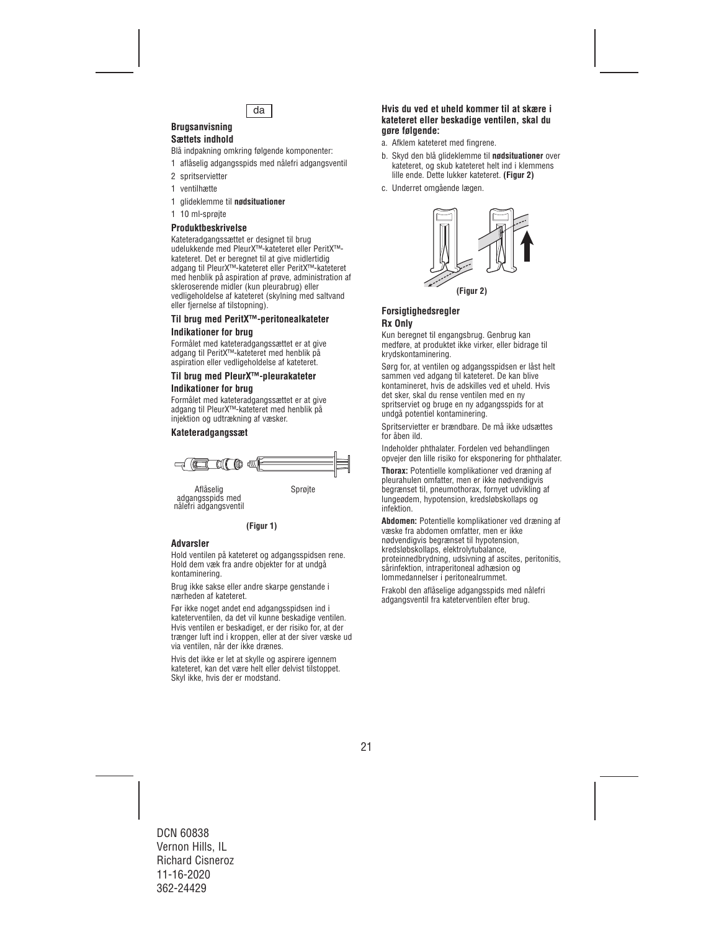

#### **Brugsanvisning Sættets indhold**

Blå indpakning omkring følgende komponenter:

- 1 aflåselig adgangsspids med nålefri adgangsventil
- 2 spritservietter
- 1 ventilhætte
- 1 glideklemme til **nødsituationer**
- 1 10 ml-sprøjte

## **Produktbeskrivelse**

Kateteradgangssættet er designet til brug udelukkende med PleurX™-kateteret eller PeritX™ kateteret. Det er beregnet til at give midlertidig adgang til PleurX™-kateteret eller PeritX™-kateteret med henblik på aspiration af prøve, administration af skleroserende midler (kun pleurabrug) eller vedligeholdelse af kateteret (skylning med saltvand eller fiernelse af tilstopning).

## **Til brug med PeritX™-peritonealkateter Indikationer for brug**

Formålet med kateteradgangssættet er at give adgang til PeritX™-kateteret med henblik på aspiration eller vedligeholdelse af kateteret.

#### **Til brug med PleurX™-pleurakateter Indikationer for brug**

Formålet med kateteradgangssættet er at give adgang til PleurX™-kateteret med henblik på injektion og udtrækning af væsker.

## **Kateteradgangssæt**



Aflåselig Sprøjte adgangsspids med nålefri adgangsventil

**(Figur 1)**

## **Advarsler**

Hold ventilen på kateteret og adgangsspidsen rene. Hold dem væk fra andre objekter for at undgå kontaminering.

Brug ikke sakse eller andre skarpe genstande i nærheden af kateteret.

Før ikke noget andet end adgangsspidsen ind i kateterventilen, da det vil kunne beskadige ventilen. Hvis ventilen er beskadiget, er der risiko for, at der trænger luft ind i kroppen, eller at der siver væske ud via ventilen, når der ikke drænes.

Hvis det ikke er let at skylle og aspirere igennem kateteret, kan det være helt eller delvist tilstoppet. Skyl ikke, hvis der er modstand.

#### **Hvis du ved et uheld kommer til at skære i kateteret eller beskadige ventilen, skal du gøre følgende:**

- a. Afklem kateteret med fingrene.
- b. Skyd den blå glideklemme til **nødsituationer** over kateteret, og skub kateteret helt ind i klemmens lille ende. Dette lukker kateteret. **(Figur 2)**
- c. Underret omgående lægen.



## **Forsigtighedsregler Rx Only**

Kun beregnet til engangsbrug. Genbrug kan medføre, at produktet ikke virker, eller bidrage til krydskontaminering.

Sørg for, at ventilen og adgangsspidsen er låst helt sammen ved adgang til kateteret. De kan blive kontamineret, hvis de adskilles ved et uheld. Hvis det sker, skal du rense ventilen med en ny spritserviet og bruge en ny adgangsspids for at undgå potentiel kontaminering.

Spritservietter er brændbare. De må ikke udsættes for åben ild.

Indeholder phthalater. Fordelen ved behandlingen opvejer den lille risiko for eksponering for phthalater.

**Thorax:** Potentielle komplikationer ved dræning af pleurahulen omfatter, men er ikke nødvendigvis begrænset til, pneumothorax, fornyet udvikling af lungeødem, hypotension, kredsløbskollaps og infektion.

**Abdomen:** Potentielle komplikationer ved dræning af væske fra abdomen omfatter, men er ikke nødvendigvis begrænset til hypotension, kredsløbskollaps, elektrolytubalance, proteinnedbrydning, udsivning af ascites, peritonitis, sårinfektion, intraperitoneal adhæsion og lommedannelser i peritonealrummet.

Frakobl den aflåselige adgangsspids med nålefri adgangsventil fra kateterventilen efter brug.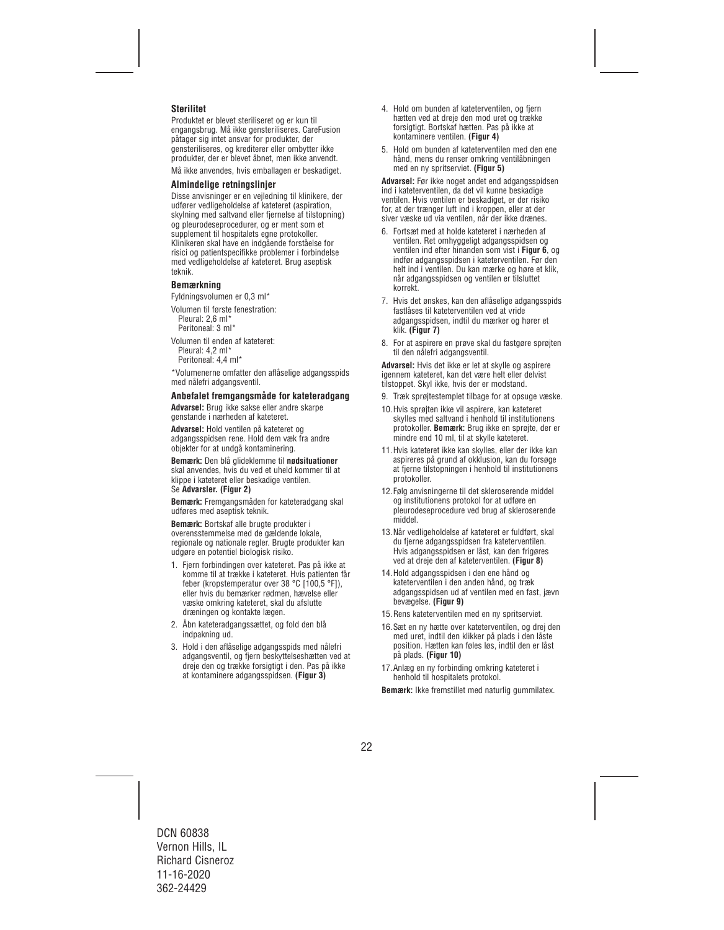## **Sterilitet**

Produktet er blevet steriliseret og er kun til engangsbrug. Må ikke gensteriliseres. CareFusion påtager sig intet ansvar for produkter, der gensteriliseres, og krediterer eller ombytter ikke produkter, der er blevet åbnet, men ikke anvendt.

Må ikke anvendes, hvis emballagen er beskadiget.

#### **Almindelige retningslinjer**

Disse anvisninger er en vejledning til klinikere, der udfører vedligeholdelse af kateteret (aspiration, skylning med saltvand eller fjernelse af tilstopning) og pleurodeseprocedurer, og er ment som et supplement til hospitalets egne protokoller. Klinikeren skal have en indgående forståelse for risici og patientspecifikke problemer i forbindelse med vedligeholdelse af kateteret. Brug aseptisk teknik.

#### **Bemærkning**

Fyldningsvolumen er 0,3 ml\*

- Volumen til første fenestration: Pleural: 2,6 ml\* Peritoneal: 3 ml\*
- Volumen til enden af kateteret: Pleural: 4,2 ml\* Peritoneal: 4,4 ml\*

\*Volumenerne omfatter den aflåselige adgangsspids med nålefri adgangsventil.

#### **Anbefalet fremgangsmåde for kateteradgang**

**Advarsel:** Brug ikke sakse eller andre skarpe genstande i nærheden af kateteret.

**Advarsel:** Hold ventilen på kateteret og adgangsspidsen rene. Hold dem væk fra andre objekter for at undgå kontaminering.

**Bemærk:** Den blå glideklemme til **nødsituationer** skal anvendes, hvis du ved et uheld kommer til at klippe i kateteret eller beskadige ventilen. Se **Advarsler. (Figur 2)**

**Bemærk:** Fremgangsmåden for kateteradgang skal udføres med aseptisk teknik.

**Bemærk:** Bortskaf alle brugte produkter i overensstemmelse med de gældende lokale, regionale og nationale regler. Brugte produkter kan udgøre en potentiel biologisk risiko.

- 1. Fjern forbindingen over kateteret. Pas på ikke at komme til at trække i kateteret. Hvis patienten får feber (kropstemperatur over 38 °C [100,5 °F]), eller hvis du bemærker rødmen, hævelse eller væske omkring kateteret, skal du afslutte dræningen og kontakte lægen.
- 2. Åbn kateteradgangssættet, og fold den blå indpakning ud.
- 3. Hold i den aflåselige adgangsspids med nålefri adgangsventil, og fjern beskyttelseshætten ved at dreje den og trække forsigtigt i den. Pas på ikke at kontaminere adgangsspidsen. **(Figur 3)**
- 4. Hold om bunden af kateterventilen, og fjern hætten ved at dreje den mod uret og trække forsigtigt. Bortskaf hætten. Pas på ikke at kontaminere ventilen. **(Figur 4)**
- 5. Hold om bunden af kateterventilen med den ene hånd, mens du renser omkring ventilåbningen med en ny spritserviet. **(Figur 5)**

Advarsel: Før ikke noget andet end adgangsspidsen ind i kateterventilen, da det vil kunne beskadige ventilen. Hvis ventilen er beskadiget, er der risiko for, at der trænger luft ind i kroppen, eller at der siver væske ud via ventilen, når der ikke drænes.

- 6. Fortsæt med at holde kateteret i nærheden af ventilen. Ret omhyggeligt adgangsspidsen og ventilen ind efter hinanden som vist i **Figur 6**, og indfør adgangsspidsen i kateterventilen. Før den helt ind i ventilen. Du kan mærke og høre et klik, når adgangsspidsen og ventilen er tilsluttet korrekt.
- 7. Hvis det ønskes, kan den aflåselige adgangsspids fastlåses til kateterventilen ved at vride adgangsspidsen, indtil du mærker og hører et klik. **(Figur 7)**
- 8. For at aspirere en prøve skal du fastgøre sprøjten til den nålefri adgangsventil.

**Advarsel:** Hvis det ikke er let at skylle og aspirere igennem kateteret, kan det være helt eller delvist tilstoppet. Skyl ikke, hvis der er modstand.

- 9. Træk sprøjtestemplet tilbage for at opsuge væske.
- 10.Hvis sprøjten ikke vil aspirere, kan kateteret skylles med saltvand i henhold til institutionens protokoller. **Bemærk:** Brug ikke en sprøjte, der er mindre end 10 ml, til at skylle kateteret.
- 11.Hvis kateteret ikke kan skylles, eller der ikke kan aspireres på grund af okklusion, kan du forsøge at fjerne tilstopningen i henhold til institutionens protokoller.
- 12.Følg anvisningerne til det skleroserende middel og institutionens protokol for at udføre en pleurodeseprocedure ved brug af skleroserende middel.
- 13.Når vedligeholdelse af kateteret er fuldført, skal du fjerne adgangsspidsen fra kateterventilen. Hvis adgangsspidsen er låst, kan den frigøres ved at dreje den af kateterventilen. **(Figur 8)**
- 14.Hold adgangsspidsen i den ene hånd og kateterventilen i den anden hånd, og træk adgangsspidsen ud af ventilen med en fast, jævn bevægelse. **(Figur 9)**
- 15.Rens kateterventilen med en ny spritserviet.
- 16.Sæt en ny hætte over kateterventilen, og drej den med uret, indtil den klikker på plads i den låste position. Hætten kan føles løs, indtil den er låst på plads. **(Figur 10)**
- 17.Anlæg en ny forbinding omkring kateteret i henhold til hospitalets protokol.

**Bemærk:** Ikke fremstillet med naturlig gummilatex.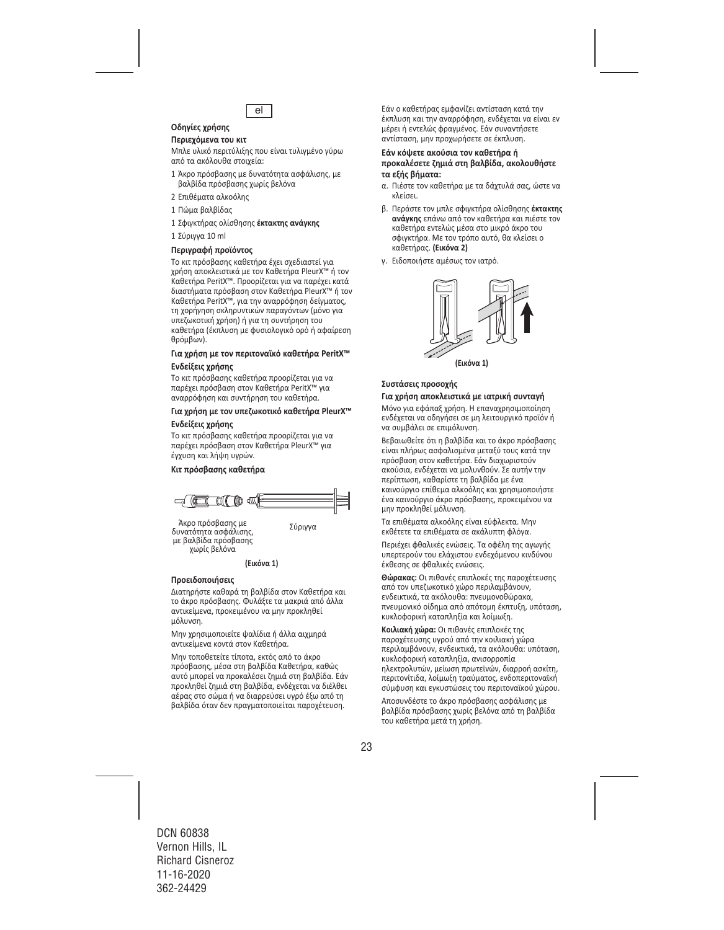

# **Οδηγίες χρήσης**

## **Περιεχόμενα του κιτ**

Μπλε υλικό περιτύλιξης που είναι τυλιγμένο γύρω από τα ακόλουθα στοιχεία:

- 1 Άκρο πρόσβασης με δυνατότητα ασφάλισης, με βαλβίδα πρόσβασης χωρίς βελόνα
- 2 Επιθέματα αλκοόλης
- 1 Πώμα βαλβίδας
- 1 Σφιγκτήρας ολίσθησης **έκτακτης ανάγκης**
- 1 Σύριγγα 10 ml

#### **Περιγραφή προϊόντος**

Το κιτ πρόσβασης καθετήρα έχει σχεδιαστεί για χρήση αποκλειστικά με τον Καθετήρα PleurX™ ή τον Καθετήρα PeritX™. Προορίζεται για να παρέχει κατά διαστήματα πρόσβαση στον Καθετήρα PleurX™ ή τον Καθετήρα PeritX™, για την αναρρόφηση δείγματος, τη χορήγηση σκληρυντικών παραγόντων (μόνο για υπεζωκοτική χρήση) ή για τη συντήρηση του καθετήρα (έκπλυση με φυσιολογικό ορό ή αφαίρεση θρόμβων).

## **Για χρήση με τον περιτοναϊκό καθετήρα PeritX™**

#### **Ενδείξεις χρήσης**

Το κιτ πρόσβασης καθετήρα προορίζεται για να παρέχει πρόσβαση στον Καθετήρα PeritX™ για αναρρόφηση και συντήρηση του καθετήρα.

#### **Για χρήση με τον υπεζωκοτικό καθετήρα PleurX™**

#### **Ενδείξεις χρήσης**

Το κιτ πρόσβασης καθετήρα προορίζεται για να παρέχει πρόσβαση στον Καθετήρα PleurX™ για έγχυση και λήψη υγρών.

#### **Κιτ πρόσβασης καθετήρα**



Άκρο πρόσβασης με Σύριννα δυνατότητα ασφάλισης, με βαλβίδα πρόσβασης χωρίς βελόνα

#### **(Εικόνα 1)**

#### **Προειδοποιήσεις**

Διατηρήστε καθαρά τη βαλβίδα στον Καθετήρα και το άκρο πρόσβασης. Φυλάξτε τα μακριά από άλλα αντικείμενα, προκειμένου να μην προκληθεί μόλυνση.

Μην χρησιμοποιείτε ψαλίδια ή άλλα αιχμηρά αντικείμενα κοντά στον Καθετήρα.

Μην τοποθετείτε τίποτα, εκτός από το άκρο πρόσβασης, μέσα στη βαλβίδα Καθετήρα, καθώς αυτό μπορεί να προκαλέσει ζημιά στη βαλβίδα. Εάν προκληθεί ζημιά στη βαλβίδα, ενδέχεται να διέλθει αέρας στο σώμα ή να διαρρεύσει υγρό έξω από τη βαλβίδα όταν δεν πραγματοποιείται παροχέτευση.

Εάν ο καθετήρας εμφανίζει αντίσταση κατά την έκπλυση και την αναρρόφηση, ενδέχεται να είναι εν μέρει ή εντελώς φραγμένος. Εάν συναντήσετε αντίσταση, μην προχωρήσετε σε έκπλυση.

#### **Εάν κόψετε ακούσια τον καθετήρα ή προκαλέσετε ζημιά στη βαλβίδα, ακολουθήστε τα εξής βήματα:**

- α. Πιέστε τον καθετήρα με τα δάχτυλά σας, ώστε να κλείσει.
- β. Περάστε τον μπλε σφιγκτήρα ολίσθησης **έκτακτης ανάγκης** επάνω από τον καθετήρα και πιέστε τον καθετήρα εντελώς μέσα στο μικρό άκρο του σφιγκτήρα. Με τον τρόπο αυτό, θα κλείσει ο καθετήρας. **(Εικόνα 2)**
- γ. Ειδοποιήστε αμέσως τον ιατρό.



#### **Συστάσεις προσοχής**

## **Για χρήση αποκλειστικά με ιατρική συνταγή**

Μόνο για εφάπαξ χρήση. Η επαναχρησιμοποίηση ενδέχεται να οδηγήσει σε μη λειτουργικό προϊόν ή να συμβάλει σε επιμόλυνση.

Βεβαιωθείτε ότι η βαλβίδα και το άκρο πρόσβασης είναι πλήρως ασφαλισμένα μεταξύ τους κατά την πρόσβαση στον καθετήρα. Εάν διαχωριστούν ακούσια, ενδέχεται να μολυνθούν. Σε αυτήν την περίπτωση, καθαρίστε τη βαλβίδα με ένα καινούργιο επίθεμα αλκοόλης και χρησιμοποιήστε ένα καινούργιο άκρο πρόσβασης, προκειμένου να μην προκληθεί μόλυνση.

Τα επιθέματα αλκοόλης είναι εύφλεκτα. Μην εκθέτετε τα επιθέματα σε ακάλυπτη φλόγα.

Περιέχει φθαλικές ενώσεις. Τα οφέλη της αγωγής υπερτερούν του ελάχιστου ενδεχόμενου κινδύνου έκθεσης σε φθαλικές ενώσεις.

**Θώρακας:** Οι πιθανές επιπλοκές της παροχέτευσης από τον υπεζωκοτικό χώρο περιλαμβάνουν, ενδεικτικά, τα ακόλουθα: πνευμονοθώρακα, πνευμονικό οίδημα από απότομη έκπτυξη, υπόταση, κυκλοφορική καταπληξία και λοίμωξη.

**Κοιλιακή χώρα:** Οι πιθανές επιπλοκές της παροχέτευσης υγρού από την κοιλιακή χώρα περιλαμβάνουν, ενδεικτικά, τα ακόλουθα: υπόταση, κυκλοφορική καταπληξία, ανισορροπία ηλεκτρολυτών, μείωση πρωτεϊνών, διαρροή ασκίτη, περιτονίτιδα, λοίμωξη τραύματος, ενδοπεριτοναϊκή σύμφυση και εγκυστώσεις του περιτοναϊκού χώρου.

Αποσυνδέστε το άκρο πρόσβασης ασφάλισης με βαλβίδα πρόσβασης χωρίς βελόνα από τη βαλβίδα του καθετήρα μετά τη χρήση.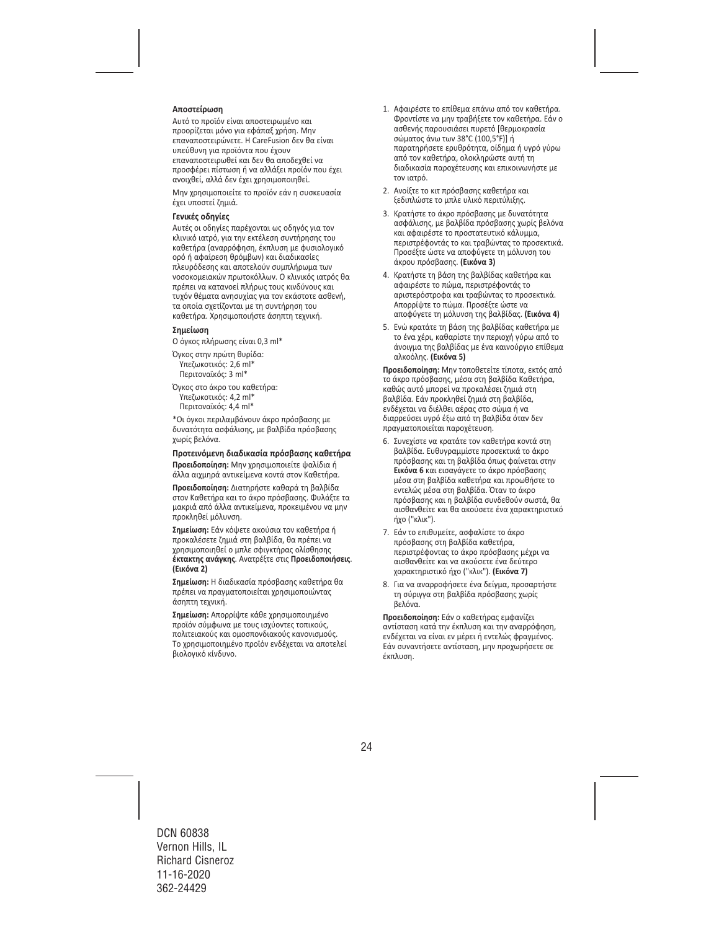#### **Αποστείρωση**

Αυτό το προϊόν είναι αποστειρωμένο και προορίζεται μόνο για εφάπαξ χρήση. Μην επαναποστειρώνετε. Η CareFusion δεν θα είναι υπεύθυνη για προϊόντα που έχουν επαναποστειρωθεί και δεν θα αποδεχθεί να προσφέρει πίστωση ή να αλλάξει προϊόν που έχει ανοιχθεί, αλλά δεν έχει χρησιμοποιηθεί.

Μην χρησιμοποιείτε το προϊόν εάν η συσκευασία έχει υποστεί ζημιά.

#### **Γενικές οδηγίες**

Αυτές οι οδηγίες παρέχονται ως οδηγός για τον κλινικό ιατρό, για την εκτέλεση συντήρησης του καθετήρα (αναρρόφηση, έκπλυση με φυσιολογικό ορό ή αφαίρεση θρόμβων) και διαδικασίες πλευρόδεσης και αποτελούν συμπλήρωμα των νοσοκομειακών πρωτοκόλλων. Ο κλινικός ιατρός θα πρέπει να κατανοεί πλήρως τους κινδύνους και τυχόν θέματα ανησυχίας για τον εκάστοτε ασθενή, τα οποία σχετίζονται με τη συντήρηση του καθετήρα. Χρησιμοποιήστε άσηπτη τεχνική.

#### **Σημείωση**

Ο όγκος πλήρωσης είναι 0,3 ml\*

Όγκος στην πρώτη θυρίδα: Υπεζωκοτικός: 2,6 ml\* Περιτοναϊκός: 3 ml\*

Όγκος στο άκρο του καθετήρα: Υπεζωκοτικός: 4,2 ml\* Περιτοναϊκός: 4,4 ml\*

\*Οι όγκοι περιλαμβάνουν άκρο πρόσβασης με δυνατότητα ασφάλισης, με βαλβίδα πρόσβασης χωρίς βελόνα.

#### **Προτεινόμενη διαδικασία πρόσβασης καθετήρα**

**Προειδοποίηση:** Μην χρησιμοποιείτε ψαλίδια ή άλλα αιχμηρά αντικείμενα κοντά στον Καθετήρα.

**Προειδοποίηση:** Διατηρήστε καθαρά τη βαλβίδα στον Καθετήρα και το άκρο πρόσβασης. Φυλάξτε τα μακριά από άλλα αντικείμενα, προκειμένου να μην προκληθεί μόλυνση.

**Σημείωση:** Εάν κόψετε ακούσια τον καθετήρα ή προκαλέσετε ζημιά στη βαλβίδα, θα πρέπει να χρησιμοποιηθεί ο μπλε σφιγκτήρας ολίσθησης **έκτακτης ανάγκης**. Ανατρέξτε στις **Προειδοποιήσεις**. **(Εικόνα 2)**

**Σημείωση:** Η διαδικασία πρόσβασης καθετήρα θα πρέπει να πραγματοποιείται χρησιμοποιώντας άσηπτη τεχνική.

**Σημείωση:** Απορρίψτε κάθε χρησιμοποιημένο προϊόν σύμφωνα με τους ισχύοντες τοπικούς, πολιτειακούς και ομοσπονδιακούς κανονισμούς. Το χρησιμοποιημένο προϊόν ενδέχεται να αποτελεί βιολογικό κίνδυνο.

- 1. Αφαιρέστε το επίθεμα επάνω από τον καθετήρα. Φροντίστε να μην τραβήξετε τον καθετήρα. Εάν ο ασθενής παρουσιάσει πυρετό [θερμοκρασία σώματος άνω των 38°C (100,5°F)] ή παρατηρήσετε ερυθρότητα, οίδημα ή υγρό γύρω από τον καθετήρα, ολοκληρώστε αυτή τη διαδικασία παροχέτευσης και επικοινωνήστε με τον ιατρό.
- 2. Ανοίξτε το κιτ πρόσβασης καθετήρα και ξεδιπλώστε το μπλε υλικό περιτύλιξης.
- 3. Κρατήστε το άκρο πρόσβασης με δυνατότητα ασφάλισης, με βαλβίδα πρόσβασης χωρίς βελόνα και αφαιρέστε το προστατευτικό κάλυμμα, περιστρέφοντάς το και τραβώντας το προσεκτικά. Προσέξτε ώστε να αποφύγετε τη μόλυνση του άκρου πρόσβασης. **(Εικόνα 3)**
- 4. Κρατήστε τη βάση της βαλβίδας καθετήρα και αφαιρέστε το πώμα, περιστρέφοντάς το αριστερόστροφα και τραβώντας το προσεκτικά. Απορρίψτε το πώμα. Προσέξτε ώστε να αποφύγετε τη μόλυνση της βαλβίδας. **(Εικόνα 4)**
- 5. Ενώ κρατάτε τη βάση της βαλβίδας καθετήρα με το ένα χέρι, καθαρίστε την περιοχή γύρω από το άνοιγμα της βαλβίδας με ένα καινούργιο επίθεμα αλκοόλης. **(Εικόνα 5)**

**Προειδοποίηση:** Μην τοποθετείτε τίποτα, εκτός από το άκρο πρόσβασης, μέσα στη βαλβίδα Καθετήρα, καθώς αυτό μπορεί να προκαλέσει ζημιά στη βαλβίδα. Εάν προκληθεί ζημιά στη βαλβίδα, ενδέχεται να διέλθει αέρας στο σώμα ή να διαρρεύσει υγρό έξω από τη βαλβίδα όταν δεν πραγματοποιείται παροχέτευση.

- 6. Συνεχίστε να κρατάτε τον καθετήρα κοντά στη βαλβίδα. Ευθυγραμμίστε προσεκτικά το άκρο πρόσβασης και τη βαλβίδα όπως φαίνεται στην **Εικόνα 6** και εισαγάγετε το άκρο πρόσβασης μέσα στη βαλβίδα καθετήρα και προωθήστε το εντελώς μέσα στη βαλβίδα. Όταν το άκρο πρόσβασης και η βαλβίδα συνδεθούν σωστά, θα αισθανθείτε και θα ακούσετε ένα χαρακτηριστικό ήχο ("κλικ").
- 7. Εάν το επιθυμείτε, ασφαλίστε το άκρο πρόσβασης στη βαλβίδα καθετήρα, περιστρέφοντας το άκρο πρόσβασης μέχρι να αισθανθείτε και να ακούσετε ένα δεύτερο χαρακτηριστικό ήχο ("κλικ"). **(Εικόνα 7)**
- 8. Για να αναρροφήσετε ένα δείγμα, προσαρτήστε τη σύριγγα στη βαλβίδα πρόσβασης χωρίς βελόνα.

**Προειδοποίηση:** Εάν ο καθετήρας εμφανίζει αντίσταση κατά την έκπλυση και την αναρρόφηση, ενδέχεται να είναι εν μέρει ή εντελώς φραγμένος. Εάν συναντήσετε αντίσταση, μην προχωρήσετε σε έκπλυση.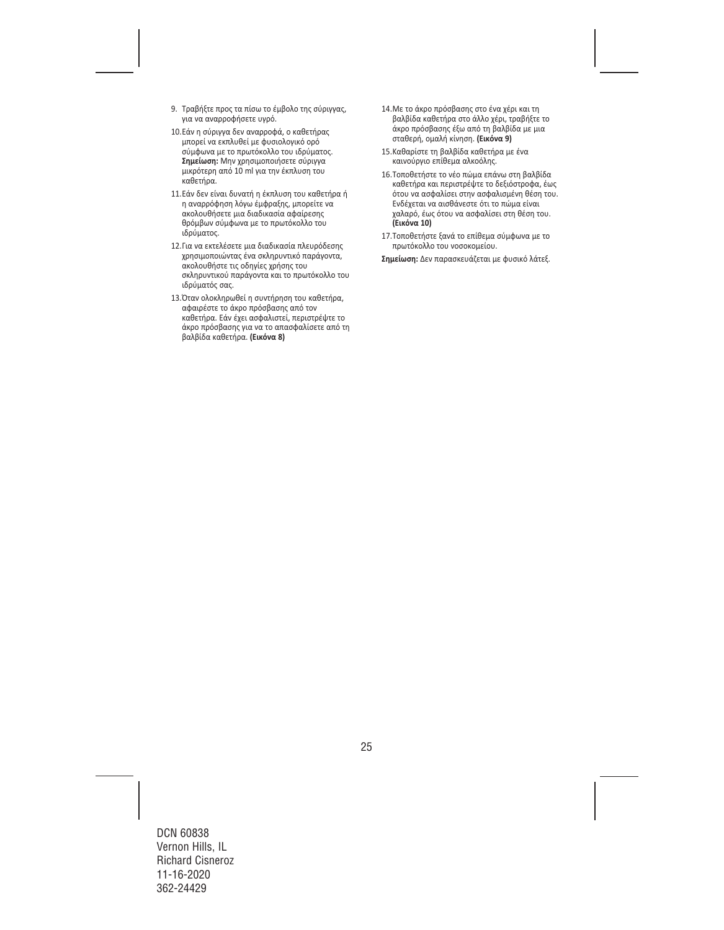- 9. Τραβήξτε προς τα πίσω το έμβολο της σύριγγας, για να αναρροφήσετε υγρό.
- 10.Εάν η σύριγγα δεν αναρροφά, ο καθετήρας μπορεί να εκπλυθεί με φυσιολογικό ορό σύμφωνα με το πρωτόκολλο του ιδρύματος. **Σημείωση:** Μην χρησιμοποιήσετε σύριγγα μικρότερη από 10 ml για την έκπλυση του καθετήρα.
- 11.Εάν δεν είναι δυνατή η έκπλυση του καθετήρα ή η αναρρόφηση λόγω έμφραξης, μπορείτε να ακολουθήσετε μια διαδικασία αφαίρεσης θρόμβων σύμφωνα με το πρωτόκολλο του ιδρύματος.
- 12.Για να εκτελέσετε μια διαδικασία πλευρόδεσης χρησιμοποιώντας ένα σκληρυντικό παράγοντα, ακολουθήστε τις οδηγίες χρήσης του σκληρυντικού παράγοντα και το πρωτόκολλο του ιδρύματός σας.
- 13.Όταν ολοκληρωθεί η συντήρηση του καθετήρα, αφαιρέστε το άκρο πρόσβασης από τον καθετήρα. Εάν έχει ασφαλιστεί, περιστρέψτε το άκρο πρόσβασης για να το απασφαλίσετε από τη βαλβίδα καθετήρα. **(Εικόνα 8)**
- 14.Με το άκρο πρόσβασης στο ένα χέρι και τη βαλβίδα καθετήρα στο άλλο χέρι, τραβήξτε το άκρο πρόσβασης έξω από τη βαλβίδα με μια σταθερή, ομαλή κίνηση. **(Εικόνα 9)**
- 15.Καθαρίστε τη βαλβίδα καθετήρα με ένα καινούργιο επίθεμα αλκοόλης.
- 16.Τοποθετήστε το νέο πώμα επάνω στη βαλβίδα καθετήρα και περιστρέψτε το δεξιόστροφα, έως ότου να ασφαλίσει στην ασφαλισμένη θέση του. Ενδέχεται να αισθάνεστε ότι το πώμα είναι χαλαρό, έως ότου να ασφαλίσει στη θέση του. **(Εικόνα 10)**
- 17.Τοποθετήστε ξανά το επίθεμα σύμφωνα με το πρωτόκολλο του νοσοκομείου.

**Σημείωση:** Δεν παρασκευάζεται με φυσικό λάτεξ.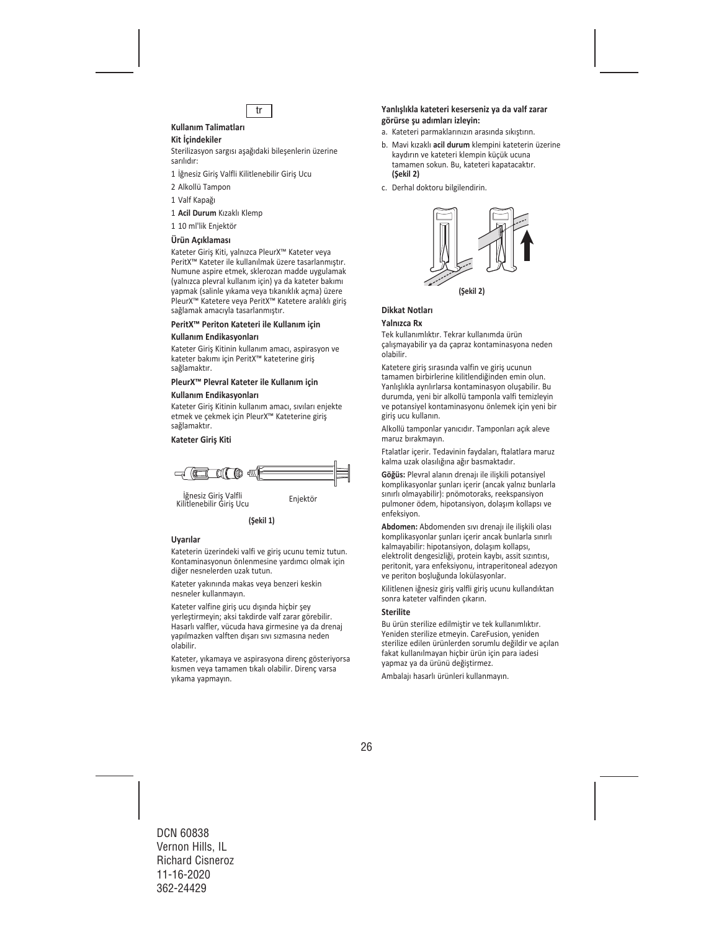

# **Kullanım Talimatları**

## **Kit İçindekiler**

Sterilizasyon sargısı aşağıdaki bileşenlerin üzerine sarılıdır:

- 1 İğnesiz Giriş Valfli Kilitlenebilir Giriş Ucu
- 2 Alkollü Tampon
- 1 Valf Kapağı
- 1 **Acil Durum** Kızaklı Klemp
- 1 10 ml'lik Enjektör

#### **Ürün Açıklaması**

Kateter Giriş Kiti, yalnızca PleurX™ Kateter veya PeritX™ Kateter ile kullanılmak üzere tasarlanmıştır. Numune aspire etmek, sklerozan madde uygulamak (yalnızca plevral kullanım için) ya da kateter bakımı yapmak (salinle yıkama veya tıkanıklık açma) üzere PleurX™ Katetere veya PeritX™ Katetere aralıklı giriş sağlamak amacıyla tasarlanmıştır.

#### **PeritX™ Periton Kateteri ile Kullanım için**

#### **Kullanım Endikasyonları**

Kateter Giriş Kitinin kullanım amacı, aspirasyon ve kateter bakımı için PeritX™ kateterine giriş sağlamaktır.

## **PleurX™ Plevral Kateter ile Kullanım için**

#### **Kullanım Endikasyonları**

Kateter Giriş Kitinin kullanım amacı, sıvıları enjekte etmek ve çekmek için PleurX™ Kateterine giriş sağlamaktır.

#### **Kateter Giriş Kiti**



İğnesiz Giriş Valfli<br>İli İstinadlı İli Enjektör Kilitlenebilir Giriş Ucu

**(Şekil 1)**

#### **Uyarılar**

Kateterin üzerindeki valfi ve giriş ucunu temiz tutun. Kontaminasyonun önlenmesine yardımcı olmak için diğer nesnelerden uzak tutun.

Kateter yakınında makas veya benzeri keskin nesneler kullanmayın.

Kateter valfine giriş ucu dışında hiçbir şey yerleştirmeyin; aksi takdirde valf zarar görebilir. Hasarlı valfler, vücuda hava girmesine ya da drenaj yapılmazken valften dışarı sıvı sızmasına neden olabilir.

Kateter, yıkamaya ve aspirasyona direnç gösteriyorsa kısmen veya tamamen tıkalı olabilir. Direnç varsa yıkama yapmayın.

#### **Yanlışlıkla kateteri keserseniz ya da valf zarar görürse şu adımları izleyin:**

- a. Kateteri parmaklarınızın arasında sıkıştırın.
- b. Mavi kızaklı **acil durum** klempini kateterin üzerine kaydırın ve kateteri klempin küçük ucuna tamamen sokun. Bu, kateteri kapatacaktır. **(Şekil 2)**
- c. Derhal doktoru bilgilendirin.



## **Dikkat Notları**

#### **Yalnızca Rx**

Tek kullanımlıktır. Tekrar kullanımda ürün çalışmayabilir ya da çapraz kontaminasyona neden olabilir.

Katetere giriş sırasında valfin ve giriş ucunun tamamen birbirlerine kilitlendiğinden emin olun. Yanlışlıkla ayrılırlarsa kontaminasyon oluşabilir. Bu durumda, yeni bir alkollü tamponla valfi temizleyin ve potansiyel kontaminasyonu önlemek için yeni bir giriş ucu kullanın.

Alkollü tamponlar yanıcıdır. Tamponları açık aleve maruz bırakmayın.

Ftalatlar içerir. Tedavinin faydaları, ftalatlara maruz kalma uzak olasılığına ağır basmaktadır.

**Göğüs:** Plevral alanın drenajı ile ilişkili potansiyel komplikasyonlar şunları içerir (ancak yalnız bunlarla sınırlı olmayabilir): pnömotoraks, reekspansiyon pulmoner ödem, hipotansiyon, dolaşım kollapsı ve enfeksiyon.

**Abdomen:** Abdomenden sıvı drenajı ile ilişkili olası komplikasyonlar şunları içerir ancak bunlarla sınırlı kalmayabilir: hipotansiyon, dolaşım kollapsı, elektrolit dengesizliği, protein kaybı, assit sızıntısı, peritonit, yara enfeksiyonu, intraperitoneal adezyon ve periton boşluğunda lokülasyonlar.

Kilitlenen iğnesiz giriş valfli giriş ucunu kullandıktan sonra kateter valfinden çıkarın.

#### **Sterilite**

Bu ürün sterilize edilmiştir ve tek kullanımlıktır. Yeniden sterilize etmeyin. CareFusion, yeniden sterilize edilen ürünlerden sorumlu değildir ve açılan fakat kullanılmayan hiçbir ürün için para iadesi yapmaz ya da ürünü değiştirmez.

Ambalajı hasarlı ürünleri kullanmayın.